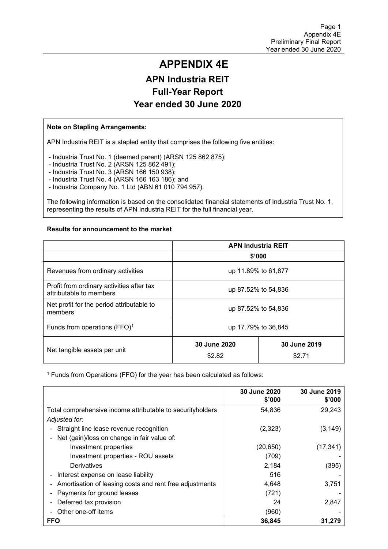## **APPENDIX 4E APN Industria REIT Full-Year Report Year ended 30 June 2020**

#### **Note on Stapling Arrangements:**

APN Industria REIT is a stapled entity that comprises the following five entities:

- Industria Trust No. 1 (deemed parent) (ARSN 125 862 875);

- Industria Trust No. 2 (ARSN 125 862 491);

- Industria Trust No. 3 (ARSN 166 150 938);

- Industria Trust No. 4 (ARSN 166 163 186); and

- Industria Company No. 1 Ltd (ABN 61 010 794 957).

The following information is based on the consolidated financial statements of Industria Trust No. 1, representing the results of APN Industria REIT for the full financial year.

#### **Results for announcement to the market**

|                                                                                  | <b>APN Industria REIT</b> |  |  |  |  |
|----------------------------------------------------------------------------------|---------------------------|--|--|--|--|
|                                                                                  | \$'000                    |  |  |  |  |
| Revenues from ordinary activities                                                | up 11.89% to 61,877       |  |  |  |  |
| Profit from ordinary activities after tax<br>attributable to members             | up 87.52% to 54,836       |  |  |  |  |
| Net profit for the period attributable to<br>members                             | up 87.52% to 54,836       |  |  |  |  |
| Funds from operations (FFO) <sup>1</sup>                                         | up 17.79% to 36,845       |  |  |  |  |
| 30 June 2020<br>30 June 2019<br>Net tangible assets per unit<br>\$2.82<br>\$2.71 |                           |  |  |  |  |

1 Funds from Operations (FFO) for the year has been calculated as follows:

|                                                             | <b>30 June 2020</b><br>\$'000 | 30 June 2019<br>\$'000 |
|-------------------------------------------------------------|-------------------------------|------------------------|
| Total comprehensive income attributable to security holders | 54,836                        | 29,243                 |
| Adjusted for:                                               |                               |                        |
| Straight line lease revenue recognition                     | (2, 323)                      | (3, 149)               |
| Net (gain)/loss on change in fair value of:                 |                               |                        |
| Investment properties                                       | (20, 650)                     | (17, 341)              |
| Investment properties - ROU assets                          | (709)                         |                        |
| Derivatives                                                 | 2,184                         | (395)                  |
| Interest expense on lease liability                         | 516                           |                        |
| Amortisation of leasing costs and rent free adjustments     | 4,648                         | 3,751                  |
| Payments for ground leases                                  | (721)                         |                        |
| Deferred tax provision                                      | 24                            | 2,847                  |
| Other one-off items                                         | (960)                         |                        |
| <b>FFO</b>                                                  | 36,845                        | 31.279                 |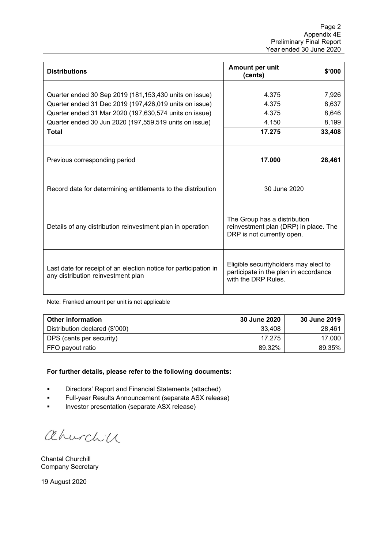| <b>Distributions</b>                                                                                                                                                                                                                                 | Amount per unit<br>(cents)                                                                            | \$'000                                     |
|------------------------------------------------------------------------------------------------------------------------------------------------------------------------------------------------------------------------------------------------------|-------------------------------------------------------------------------------------------------------|--------------------------------------------|
| Quarter ended 30 Sep 2019 (181,153,430 units on issue)<br>Quarter ended 31 Dec 2019 (197,426,019 units on issue)<br>Quarter ended 31 Mar 2020 (197,630,574 units on issue)<br>Quarter ended 30 Jun 2020 (197,559,519 units on issue)<br><b>Total</b> | 4.375<br>4.375<br>4.375<br>4.150<br>17.275                                                            | 7,926<br>8,637<br>8,646<br>8,199<br>33,408 |
| Previous corresponding period                                                                                                                                                                                                                        | 17.000                                                                                                | 28,461                                     |
| Record date for determining entitlements to the distribution                                                                                                                                                                                         | 30 June 2020                                                                                          |                                            |
| Details of any distribution reinvestment plan in operation                                                                                                                                                                                           | The Group has a distribution<br>reinvestment plan (DRP) in place. The<br>DRP is not currently open.   |                                            |
| Last date for receipt of an election notice for participation in<br>any distribution reinvestment plan                                                                                                                                               | Eligible securityholders may elect to<br>participate in the plan in accordance<br>with the DRP Rules. |                                            |

Note: Franked amount per unit is not applicable

| <b>Other information</b>       | <b>30 June 2020</b> | 30 June 2019 |
|--------------------------------|---------------------|--------------|
| Distribution declared (\$'000) | 33,408              | 28,461       |
| DPS (cents per security)       | 17.275              | 17.000       |
| ∣ FFO payout ratio             | 89.32%              | 89.35%       |

#### **For further details, please refer to the following documents:**

- Directors' Report and Financial Statements (attached)
- Full-year Results Announcement (separate ASX release)
- **Investor presentation (separate ASX release)**

ahurchich

Chantal Churchill Company Secretary

19 August 2020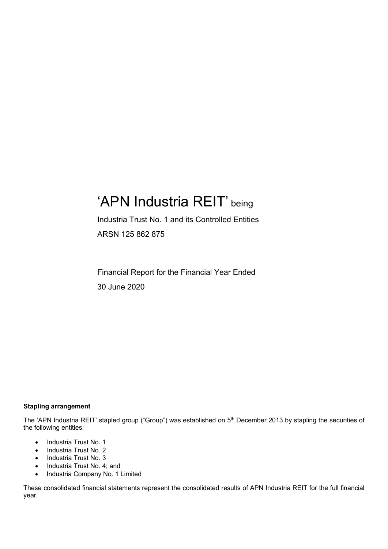## 'APN Industria REIT' being

Industria Trust No. 1 and its Controlled Entities ARSN 125 862 875

Financial Report for the Financial Year Ended 30 June 2020

#### **Stapling arrangement**

The 'APN Industria REIT' stapled group ("Group") was established on 5<sup>th</sup> December 2013 by stapling the securities of the following entities:

- Industria Trust No. 1
- Industria Trust No. 2
- Industria Trust No. 3
- Industria Trust No. 4; and
- Industria Company No. 1 Limited

These consolidated financial statements represent the consolidated results of APN Industria REIT for the full financial year.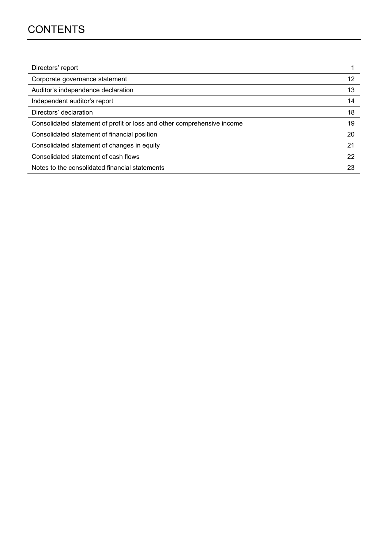## **CONTENTS**

| Directors' report                                                       |    |
|-------------------------------------------------------------------------|----|
| Corporate governance statement                                          | 12 |
| Auditor's independence declaration                                      | 13 |
| Independent auditor's report                                            | 14 |
| Directors' declaration                                                  | 18 |
| Consolidated statement of profit or loss and other comprehensive income | 19 |
| Consolidated statement of financial position                            | 20 |
| Consolidated statement of changes in equity                             | 21 |
| Consolidated statement of cash flows                                    | 22 |
| Notes to the consolidated financial statements                          | 23 |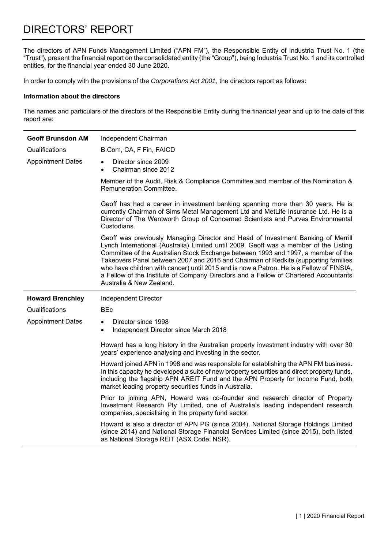The directors of APN Funds Management Limited ("APN FM"), the Responsible Entity of Industria Trust No. 1 (the "Trust"), present the financial report on the consolidated entity (the "Group"), being Industria Trust No. 1 and its controlled entities, for the financial year ended 30 June 2020.

In order to comply with the provisions of the *Corporations Act 2001*, the directors report as follows:

#### **Information about the directors**

The names and particulars of the directors of the Responsible Entity during the financial year and up to the date of this report are:

| <b>Geoff Brunsdon AM</b> | Independent Chairman                                                                                                                                                                                                                                                                                                                                                                                                                                                                                                                                                 |  |  |  |  |  |
|--------------------------|----------------------------------------------------------------------------------------------------------------------------------------------------------------------------------------------------------------------------------------------------------------------------------------------------------------------------------------------------------------------------------------------------------------------------------------------------------------------------------------------------------------------------------------------------------------------|--|--|--|--|--|
| Qualifications           | B.Com, CA, F Fin, FAICD                                                                                                                                                                                                                                                                                                                                                                                                                                                                                                                                              |  |  |  |  |  |
| <b>Appointment Dates</b> | Director since 2009<br>Chairman since 2012<br>$\bullet$                                                                                                                                                                                                                                                                                                                                                                                                                                                                                                              |  |  |  |  |  |
|                          | Member of the Audit, Risk & Compliance Committee and member of the Nomination &<br>Remuneration Committee.                                                                                                                                                                                                                                                                                                                                                                                                                                                           |  |  |  |  |  |
|                          | Geoff has had a career in investment banking spanning more than 30 years. He is<br>currently Chairman of Sims Metal Management Ltd and MetLife Insurance Ltd. He is a<br>Director of The Wentworth Group of Concerned Scientists and Purves Environmental<br>Custodians.                                                                                                                                                                                                                                                                                             |  |  |  |  |  |
|                          | Geoff was previously Managing Director and Head of Investment Banking of Merrill<br>Lynch International (Australia) Limited until 2009. Geoff was a member of the Listing<br>Committee of the Australian Stock Exchange between 1993 and 1997, a member of the<br>Takeovers Panel between 2007 and 2016 and Chairman of Redkite (supporting families<br>who have children with cancer) until 2015 and is now a Patron. He is a Fellow of FINSIA,<br>a Fellow of the Institute of Company Directors and a Fellow of Chartered Accountants<br>Australia & New Zealand. |  |  |  |  |  |
|                          |                                                                                                                                                                                                                                                                                                                                                                                                                                                                                                                                                                      |  |  |  |  |  |
| <b>Howard Brenchley</b>  | Independent Director                                                                                                                                                                                                                                                                                                                                                                                                                                                                                                                                                 |  |  |  |  |  |
| Qualifications           | <b>BEc</b>                                                                                                                                                                                                                                                                                                                                                                                                                                                                                                                                                           |  |  |  |  |  |
| <b>Appointment Dates</b> | Director since 1998<br>$\bullet$<br>Independent Director since March 2018<br>$\bullet$                                                                                                                                                                                                                                                                                                                                                                                                                                                                               |  |  |  |  |  |
|                          | Howard has a long history in the Australian property investment industry with over 30<br>years' experience analysing and investing in the sector.                                                                                                                                                                                                                                                                                                                                                                                                                    |  |  |  |  |  |
|                          | Howard joined APN in 1998 and was responsible for establishing the APN FM business.<br>In this capacity he developed a suite of new property securities and direct property funds,<br>including the flagship APN AREIT Fund and the APN Property for Income Fund, both<br>market leading property securities funds in Australia.                                                                                                                                                                                                                                     |  |  |  |  |  |
|                          | Prior to joining APN, Howard was co-founder and research director of Property<br>Investment Research Pty Limited, one of Australia's leading independent research<br>companies, specialising in the property fund sector.                                                                                                                                                                                                                                                                                                                                            |  |  |  |  |  |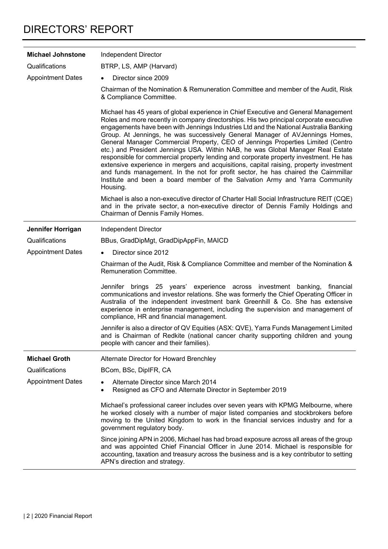| <b>Michael Johnstone</b> | Independent Director                                                                                                                                                                                                                                                                                                                                                                                                                                                                                                                                                                                                                                                                                                                                                                                                                                                                              |
|--------------------------|---------------------------------------------------------------------------------------------------------------------------------------------------------------------------------------------------------------------------------------------------------------------------------------------------------------------------------------------------------------------------------------------------------------------------------------------------------------------------------------------------------------------------------------------------------------------------------------------------------------------------------------------------------------------------------------------------------------------------------------------------------------------------------------------------------------------------------------------------------------------------------------------------|
| Qualifications           | BTRP, LS, AMP (Harvard)                                                                                                                                                                                                                                                                                                                                                                                                                                                                                                                                                                                                                                                                                                                                                                                                                                                                           |
| <b>Appointment Dates</b> | Director since 2009                                                                                                                                                                                                                                                                                                                                                                                                                                                                                                                                                                                                                                                                                                                                                                                                                                                                               |
|                          | Chairman of the Nomination & Remuneration Committee and member of the Audit, Risk<br>& Compliance Committee.                                                                                                                                                                                                                                                                                                                                                                                                                                                                                                                                                                                                                                                                                                                                                                                      |
|                          | Michael has 45 years of global experience in Chief Executive and General Management<br>Roles and more recently in company directorships. His two principal corporate executive<br>engagements have been with Jennings Industries Ltd and the National Australia Banking<br>Group. At Jennings, he was successively General Manager of AVJennings Homes,<br>General Manager Commercial Property, CEO of Jennings Properties Limited (Centro<br>etc.) and President Jennings USA. Within NAB, he was Global Manager Real Estate<br>responsible for commercial property lending and corporate property investment. He has<br>extensive experience in mergers and acquisitions, capital raising, property investment<br>and funds management. In the not for profit sector, he has chaired the Cairnmillar<br>Institute and been a board member of the Salvation Army and Yarra Community<br>Housing. |
|                          | Michael is also a non-executive director of Charter Hall Social Infrastructure REIT (CQE)<br>and in the private sector, a non-executive director of Dennis Family Holdings and<br>Chairman of Dennis Family Homes.                                                                                                                                                                                                                                                                                                                                                                                                                                                                                                                                                                                                                                                                                |
| Jennifer Horrigan        | Independent Director                                                                                                                                                                                                                                                                                                                                                                                                                                                                                                                                                                                                                                                                                                                                                                                                                                                                              |
| Qualifications           | BBus, GradDipMgt, GradDipAppFin, MAICD                                                                                                                                                                                                                                                                                                                                                                                                                                                                                                                                                                                                                                                                                                                                                                                                                                                            |
| <b>Appointment Dates</b> | Director since 2012<br>$\bullet$                                                                                                                                                                                                                                                                                                                                                                                                                                                                                                                                                                                                                                                                                                                                                                                                                                                                  |
|                          | Chairman of the Audit, Risk & Compliance Committee and member of the Nomination &<br>Remuneration Committee.                                                                                                                                                                                                                                                                                                                                                                                                                                                                                                                                                                                                                                                                                                                                                                                      |
|                          | Jennifer brings 25 years' experience across investment banking,<br>financial<br>communications and investor relations. She was formerly the Chief Operating Officer in<br>Australia of the independent investment bank Greenhill & Co. She has extensive<br>experience in enterprise management, including the supervision and management of<br>compliance, HR and financial management.                                                                                                                                                                                                                                                                                                                                                                                                                                                                                                          |
|                          | Jennifer is also a director of QV Equities (ASX: QVE), Yarra Funds Management Limited<br>and is Chairman of Redkite (national cancer charity supporting children and young<br>people with cancer and their families).                                                                                                                                                                                                                                                                                                                                                                                                                                                                                                                                                                                                                                                                             |
| <b>Michael Groth</b>     | Alternate Director for Howard Brenchley                                                                                                                                                                                                                                                                                                                                                                                                                                                                                                                                                                                                                                                                                                                                                                                                                                                           |
| Qualifications           | BCom, BSc, DiplFR, CA                                                                                                                                                                                                                                                                                                                                                                                                                                                                                                                                                                                                                                                                                                                                                                                                                                                                             |
| <b>Appointment Dates</b> | Alternate Director since March 2014<br>Resigned as CFO and Alternate Director in September 2019                                                                                                                                                                                                                                                                                                                                                                                                                                                                                                                                                                                                                                                                                                                                                                                                   |
|                          | Michael's professional career includes over seven years with KPMG Melbourne, where<br>he worked closely with a number of major listed companies and stockbrokers before<br>moving to the United Kingdom to work in the financial services industry and for a<br>government regulatory body.                                                                                                                                                                                                                                                                                                                                                                                                                                                                                                                                                                                                       |
|                          | Since joining APN in 2006, Michael has had broad exposure across all areas of the group<br>and was appointed Chief Financial Officer in June 2014. Michael is responsible for<br>accounting, taxation and treasury across the business and is a key contributor to setting<br>APN's direction and strategy.                                                                                                                                                                                                                                                                                                                                                                                                                                                                                                                                                                                       |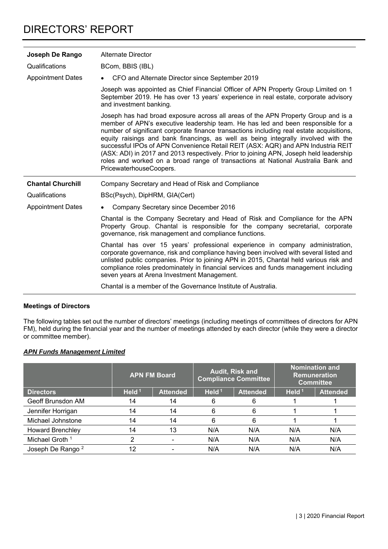| Joseph De Rango          | Alternate Director                                                                                                                                                                                                                                                                                                                                                                                                                                                                                                                                                                                                                                   |  |  |  |  |
|--------------------------|------------------------------------------------------------------------------------------------------------------------------------------------------------------------------------------------------------------------------------------------------------------------------------------------------------------------------------------------------------------------------------------------------------------------------------------------------------------------------------------------------------------------------------------------------------------------------------------------------------------------------------------------------|--|--|--|--|
| Qualifications           | BCom, BBIS (IBL)                                                                                                                                                                                                                                                                                                                                                                                                                                                                                                                                                                                                                                     |  |  |  |  |
| <b>Appointment Dates</b> | CFO and Alternate Director since September 2019                                                                                                                                                                                                                                                                                                                                                                                                                                                                                                                                                                                                      |  |  |  |  |
|                          | Joseph was appointed as Chief Financial Officer of APN Property Group Limited on 1<br>September 2019. He has over 13 years' experience in real estate, corporate advisory<br>and investment banking.                                                                                                                                                                                                                                                                                                                                                                                                                                                 |  |  |  |  |
|                          | Joseph has had broad exposure across all areas of the APN Property Group and is a<br>member of APN's executive leadership team. He has led and been responsible for a<br>number of significant corporate finance transactions including real estate acquisitions,<br>equity raisings and bank financings, as well as being integrally involved with the<br>successful IPOs of APN Convenience Retail REIT (ASX: AQR) and APN Industria REIT<br>(ASX: ADI) in 2017 and 2013 respectively. Prior to joining APN, Joseph held leadership<br>roles and worked on a broad range of transactions at National Australia Bank and<br>PricewaterhouseCoopers. |  |  |  |  |
|                          |                                                                                                                                                                                                                                                                                                                                                                                                                                                                                                                                                                                                                                                      |  |  |  |  |
| <b>Chantal Churchill</b> | Company Secretary and Head of Risk and Compliance                                                                                                                                                                                                                                                                                                                                                                                                                                                                                                                                                                                                    |  |  |  |  |
| Qualifications           | BSc(Psych), DipHRM, GIA(Cert)                                                                                                                                                                                                                                                                                                                                                                                                                                                                                                                                                                                                                        |  |  |  |  |
| <b>Appointment Dates</b> | Company Secretary since December 2016                                                                                                                                                                                                                                                                                                                                                                                                                                                                                                                                                                                                                |  |  |  |  |
|                          | Chantal is the Company Secretary and Head of Risk and Compliance for the APN<br>Property Group. Chantal is responsible for the company secretarial, corporate<br>governance, risk management and compliance functions.                                                                                                                                                                                                                                                                                                                                                                                                                               |  |  |  |  |
|                          | Chantal has over 15 years' professional experience in company administration,<br>corporate governance, risk and compliance having been involved with several listed and<br>unlisted public companies. Prior to joining APN in 2015, Chantal held various risk and<br>compliance roles predominately in financial services and funds management including<br>seven years at Arena Investment Management.<br>Chantal is a member of the Governance Institute of Australia.                                                                                                                                                                             |  |  |  |  |

#### **Meetings of Directors**

The following tables set out the number of directors' meetings (including meetings of committees of directors for APN FM), held during the financial year and the number of meetings attended by each director (while they were a director or committee member).

#### *APN Funds Management Limited*

|                              |          | <b>APN FM Board</b> | Audit, Risk and<br><b>Compliance Committee</b> |                 | <b>Nomination and</b><br><b>Remuneration</b><br><b>Committee</b> |                 |
|------------------------------|----------|---------------------|------------------------------------------------|-----------------|------------------------------------------------------------------|-----------------|
| <b>Directors</b>             | Held $1$ | <b>Attended</b>     | Held $1$                                       | <b>Attended</b> | Held $1$                                                         | <b>Attended</b> |
| Geoff Brunsdon AM            | 14       | 14                  | 6                                              | 6               |                                                                  |                 |
| Jennifer Horrigan            | 14       | 14                  | 6                                              | 6               |                                                                  |                 |
| Michael Johnstone            | 14       | 14                  | 6                                              | 6               |                                                                  |                 |
| <b>Howard Brenchley</b>      | 14       | 13                  | N/A                                            | N/A             | N/A                                                              | N/A             |
| Michael Groth <sup>1</sup>   | っ        |                     | N/A                                            | N/A             | N/A                                                              | N/A             |
| Joseph De Rango <sup>2</sup> | 12       |                     | N/A                                            | N/A             | N/A                                                              | N/A             |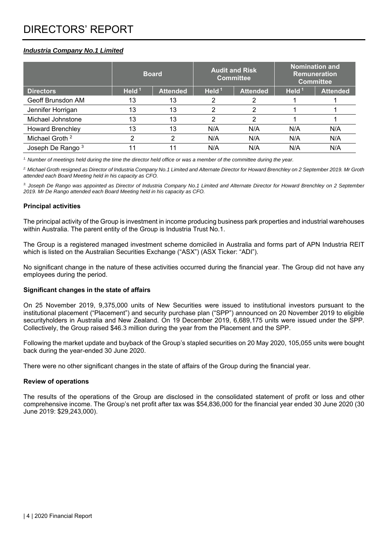#### *Industria Company No.1 Limited*

|                              |          | <b>Board</b>    | <b>Audit and Risk</b><br><b>Committee</b> |                 | <b>Nomination and</b><br><b>Remuneration</b><br><b>Committee</b> |                 |
|------------------------------|----------|-----------------|-------------------------------------------|-----------------|------------------------------------------------------------------|-----------------|
| <b>Directors</b>             | Held $1$ | <b>Attended</b> | Held $1$                                  | <b>Attended</b> | Held $1$                                                         | <b>Attended</b> |
| Geoff Brunsdon AM            | 13       | 13              |                                           |                 |                                                                  |                 |
| Jennifer Horrigan            | 13       | 13              | っ                                         |                 |                                                                  |                 |
| Michael Johnstone            | 13       | 13              | っ                                         |                 |                                                                  |                 |
| <b>Howard Brenchley</b>      | 13       | 13              | N/A                                       | N/A             | N/A                                                              | N/A             |
| Michael Groth <sup>2</sup>   | າ        | ⌒               | N/A                                       | N/A             | N/A                                                              | N/A             |
| Joseph De Rango <sup>3</sup> | 11       |                 | N/A                                       | N/A             | N/A                                                              | N/A             |

*1. Number of meetings held during the time the director held office or was a member of the committee during the year.* 

*2. Michael Groth resigned as Director of Industria Company No.1 Limited and Alternate Director for Howard Brenchley on 2 September 2019. Mr Groth attended each Board Meeting held in his capacity as CFO.* 

*3. Joseph De Rango was appointed as Director of Industria Company No.1 Limited and Alternate Director for Howard Brenchley on 2 September 2019. Mr De Rango attended each Board Meeting held in his capacity as CFO.* 

#### **Principal activities**

The principal activity of the Group is investment in income producing business park properties and industrial warehouses within Australia. The parent entity of the Group is Industria Trust No.1.

The Group is a registered managed investment scheme domiciled in Australia and forms part of APN Industria REIT which is listed on the Australian Securities Exchange ("ASX") (ASX Ticker: "ADI").

No significant change in the nature of these activities occurred during the financial year. The Group did not have any employees during the period.

#### **Significant changes in the state of affairs**

On 25 November 2019, 9,375,000 units of New Securities were issued to institutional investors pursuant to the institutional placement ("Placement") and security purchase plan ("SPP") announced on 20 November 2019 to eligible securityholders in Australia and New Zealand. On 19 December 2019, 6,689,175 units were issued under the SPP. Collectively, the Group raised \$46.3 million during the year from the Placement and the SPP.

Following the market update and buyback of the Group's stapled securities on 20 May 2020, 105,055 units were bought back during the year-ended 30 June 2020.

There were no other significant changes in the state of affairs of the Group during the financial year.

#### **Review of operations**

The results of the operations of the Group are disclosed in the consolidated statement of profit or loss and other comprehensive income. The Group's net profit after tax was \$54,836,000 for the financial year ended 30 June 2020 (30 June 2019: \$29,243,000).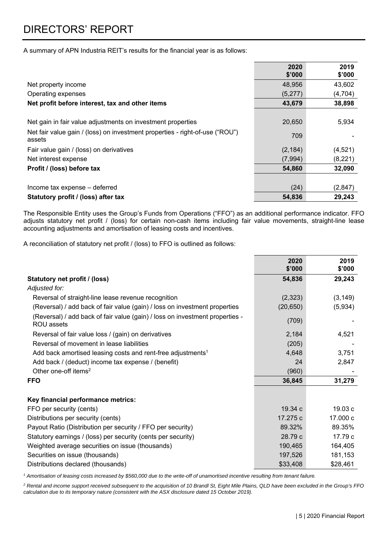A summary of APN Industria REIT's results for the financial year is as follows:

|                                                                                        | 2020<br>\$'000 | 2019<br>\$'000 |
|----------------------------------------------------------------------------------------|----------------|----------------|
| Net property income                                                                    | 48,956         | 43,602         |
| Operating expenses                                                                     | (5,277)        | (4, 704)       |
| Net profit before interest, tax and other items                                        | 43,679         | 38,898         |
|                                                                                        |                |                |
| Net gain in fair value adjustments on investment properties                            | 20,650         | 5,934          |
| Net fair value gain / (loss) on investment properties - right-of-use ("ROU")<br>assets | 709            |                |
| Fair value gain / (loss) on derivatives                                                | (2, 184)       | (4,521)        |
| Net interest expense                                                                   | (7,994)        | (8, 221)       |
| Profit / (loss) before tax                                                             | 54,860         | 32,090         |
|                                                                                        |                |                |
| Income tax expense - deferred                                                          | (24)           | (2, 847)       |
| Statutory profit / (loss) after tax                                                    | 54,836         | 29,243         |

The Responsible Entity uses the Group's Funds from Operations ("FFO") as an additional performance indicator. FFO adjusts statutory net profit / (loss) for certain non-cash items including fair value movements, straight-line lease accounting adjustments and amortisation of leasing costs and incentives.

A reconciliation of statutory net profit / (loss) to FFO is outlined as follows:

|                                                                                            | 2020<br>\$'000 | 2019<br>\$'000 |
|--------------------------------------------------------------------------------------------|----------------|----------------|
| Statutory net profit / (loss)                                                              | 54,836         | 29,243         |
| Adjusted for:                                                                              |                |                |
| Reversal of straight-line lease revenue recognition                                        | (2,323)        | (3, 149)       |
| (Reversal) / add back of fair value (gain) / loss on investment properties                 | (20, 650)      | (5,934)        |
| (Reversal) / add back of fair value (gain) / loss on investment properties -<br>ROU assets | (709)          |                |
| Reversal of fair value loss / (gain) on derivatives                                        | 2,184          | 4,521          |
| Reversal of movement in lease liabilities                                                  | (205)          |                |
| Add back amortised leasing costs and rent-free adjustments <sup>1</sup>                    | 4,648          | 3,751          |
| Add back / (deduct) income tax expense / (benefit)                                         | 24             | 2,847          |
| Other one-off items <sup>2</sup>                                                           | (960)          |                |
| <b>FFO</b>                                                                                 | 36,845         | 31,279         |
| Key financial performance metrics:                                                         |                |                |
| FFO per security (cents)                                                                   | 19.34 c        | 19.03c         |
| Distributions per security (cents)                                                         | 17.275 c       | 17.000 c       |
| Payout Ratio (Distribution per security / FFO per security)                                | 89.32%         | 89.35%         |
| Statutory earnings / (loss) per security (cents per security)                              | 28.79 c        | 17.79 c        |
| Weighted average securities on issue (thousands)                                           | 190,465        | 164,405        |
| Securities on issue (thousands)                                                            | 197,526        | 181,153        |
| Distributions declared (thousands)                                                         | \$33,408       | \$28,461       |

<sup>1</sup> Amortisation of leasing costs increased by \$560,000 due to the write-off of unamortised incentive resulting from tenant failure.

*2 Rental and income support received subsequent to the acquisition of 10 Brandl St, Eight Mile Plains, QLD have been excluded in the Group's FFO calculation due to its temporary nature (consistent with the ASX disclosure dated 15 October 2019).*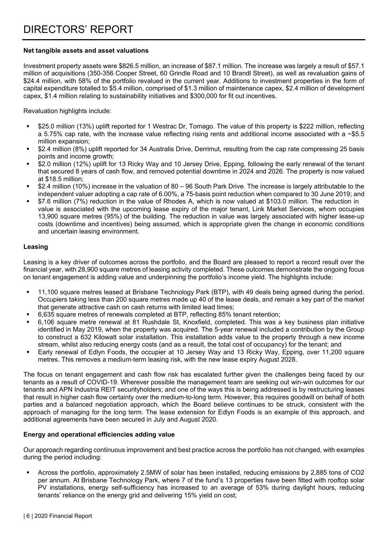#### **Net tangible assets and asset valuations**

Investment property assets were \$826.5 million, an increase of \$87.1 million. The increase was largely a result of \$57.1 million of acquisitions (350-356 Cooper Street, 60 Grindle Road and 10 Brandl Street), as well as revaluation gains of \$24.4 million, with 58% of the portfolio revalued in the current year. Additions to investment properties in the form of capital expenditure totalled to \$5.4 million, comprised of \$1.3 million of maintenance capex, \$2.4 million of development capex, \$1.4 million relating to sustainability initiatives and \$300,000 for fit out incentives.

Revaluation highlights include:

- \$25.0 million (13%) uplift reported for 1 Westrac Dr, Tomago. The value of this property is \$222 million, reflecting a 5.75% cap rate, with the increase value reflecting rising rents and additional income associated with a  $\sim$ \$5.5 million expansion;
- \$2.4 million (8%) uplift reported for 34 Australis Drive, Derrimut, resulting from the cap rate compressing 25 basis points and income growth;
- \$2.0 million (12%) uplift for 13 Ricky Way and 10 Jersey Drive, Epping, following the early renewal of the tenant that secured 8 years of cash flow, and removed potential downtime in 2024 and 2026. The property is now valued at \$18.5 million;
- \$2.4 million (10%) increase in the valuation of 80 96 South Park Drive. The increase is largely attributable to the independent valuer adopting a cap rate of 6.00%, a 75-basis point reduction when compared to 30 June 2019; and
- \$7.6 million (7%) reduction in the value of Rhodes A, which is now valued at \$103.0 million. The reduction in value is associated with the upcoming lease expiry of the major tenant, Link Market Services, whom occupies 13,900 square metres (95%) of the building. The reduction in value was largely associated with higher lease-up costs (downtime and incentives) being assumed, which is appropriate given the change in economic conditions and uncertain leasing environment.

#### **Leasing**

Leasing is a key driver of outcomes across the portfolio, and the Board are pleased to report a record result over the financial year, with 28,900 square metres of leasing activity completed. These outcomes demonstrate the ongoing focus on tenant engagement is adding value and underpinning the portfolio's income yield. The highlights include:

- 11,100 square metres leased at Brisbane Technology Park (BTP), with 49 deals being agreed during the period. Occupiers taking less than 200 square metres made up 40 of the lease deals, and remain a key part of the market that generate attractive cash on cash returns with limited lead times;
- 6,635 square metres of renewals completed at BTP, reflecting 85% tenant retention;
- 6,106 square metre renewal at 81 Rushdale St, Knoxfield, completed. This was a key business plan initiative identified in May 2019, when the property was acquired. The 5-year renewal included a contribution by the Group to construct a 632 Kilowatt solar installation. This installation adds value to the property through a new income stream, whilst also reducing energy costs (and as a result, the total cost of occupancy) for the tenant; and
- Early renewal of Edlyn Foods, the occupier at 10 Jersey Way and 13 Ricky Way, Epping, over 11,200 square metres. This removes a medium-term leasing risk, with the new lease expiry August 2028.

The focus on tenant engagement and cash flow risk has escalated further given the challenges being faced by our tenants as a result of COVID-19. Wherever possible the management team are seeking out win-win outcomes for our tenants and APN Industria REIT securityholders; and one of the ways this is being addressed is by restructuring leases that result in higher cash flow certainty over the medium-to-long term. However, this requires goodwill on behalf of both parties and a balanced negotiation approach, which the Board believe continues to be struck, consistent with the approach of managing for the long term. The lease extension for Edlyn Foods is an example of this approach, and additional agreements have been secured in July and August 2020.

#### **Energy and operational efficiencies adding value**

Our approach regarding continuous improvement and best practice across the portfolio has not changed, with examples during the period including:

 Across the portfolio, approximately 2.5MW of solar has been installed, reducing emissions by 2,885 tons of CO2 per annum. At Brisbane Technology Park, where 7 of the fund's 13 properties have been fitted with rooftop solar PV installations, energy self-sufficiency has increased to an average of 53% during daylight hours, reducing tenants' reliance on the energy grid and delivering 15% yield on cost;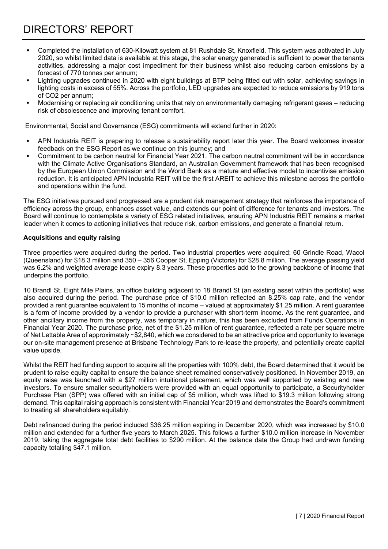- Completed the installation of 630-Kilowatt system at 81 Rushdale St, Knoxfield. This system was activated in July 2020, so whilst limited data is available at this stage, the solar energy generated is sufficient to power the tenants activities, addressing a major cost impediment for their business whilst also reducing carbon emissions by a forecast of 770 tonnes per annum;
- Lighting upgrades continued in 2020 with eight buildings at BTP being fitted out with solar, achieving savings in lighting costs in excess of 55%. Across the portfolio, LED upgrades are expected to reduce emissions by 919 tons of CO2 per annum;
- Modernising or replacing air conditioning units that rely on environmentally damaging refrigerant gases reducing risk of obsolescence and improving tenant comfort.

Environmental, Social and Governance (ESG) commitments will extend further in 2020:

- APN Industria REIT is preparing to release a sustainability report later this year. The Board welcomes investor feedback on the ESG Report as we continue on this journey; and
- Commitment to be carbon neutral for Financial Year 2021. The carbon neutral commitment will be in accordance with the Climate Active Organisations Standard, an Australian Government framework that has been recognised by the European Union Commission and the World Bank as a mature and effective model to incentivise emission reduction. It is anticipated APN Industria REIT will be the first AREIT to achieve this milestone across the portfolio and operations within the fund.

The ESG initiatives pursued and progressed are a prudent risk management strategy that reinforces the importance of efficiency across the group, enhances asset value, and extends our point of difference for tenants and investors. The Board will continue to contemplate a variety of ESG related initiatives, ensuring APN Industria REIT remains a market leader when it comes to actioning initiatives that reduce risk, carbon emissions, and generate a financial return.

#### **Acquisitions and equity raising**

Three properties were acquired during the period. Two industrial properties were acquired; 60 Grindle Road, Wacol (Queensland) for \$18.3 million and 350 – 356 Cooper St, Epping (Victoria) for \$28.8 million. The average passing yield was 6.2% and weighted average lease expiry 8.3 years. These properties add to the growing backbone of income that underpins the portfolio.

10 Brandl St, Eight Mile Plains, an office building adjacent to 18 Brandl St (an existing asset within the portfolio) was also acquired during the period. The purchase price of \$10.0 million reflected an 8.25% cap rate, and the vendor provided a rent guarantee equivalent to 15 months of income – valued at approximately \$1.25 million. A rent guarantee is a form of income provided by a vendor to provide a purchaser with short-term income. As the rent guarantee, and other ancillary income from the property, was temporary in nature, this has been excluded from Funds Operations in Financial Year 2020. The purchase price, net of the \$1.25 million of rent guarantee, reflected a rate per square metre of Net Lettable Area of approximately ~\$2,840, which we considered to be an attractive price and opportunity to leverage our on-site management presence at Brisbane Technology Park to re-lease the property, and potentially create capital value upside.

Whilst the REIT had funding support to acquire all the properties with 100% debt, the Board determined that it would be prudent to raise equity capital to ensure the balance sheet remained conservatively positioned. In November 2019, an equity raise was launched with a \$27 million intuitional placement, which was well supported by existing and new investors. To ensure smaller securityholders were provided with an equal opportunity to participate, a Securityholder Purchase Plan (SPP) was offered with an initial cap of \$5 million, which was lifted to \$19.3 million following strong demand. This capital raising approach is consistent with Financial Year 2019 and demonstrates the Board's commitment to treating all shareholders equitably.

Debt refinanced during the period included \$36.25 million expiring in December 2020, which was increased by \$10.0 million and extended for a further five years to March 2025. This follows a further \$10.0 million increase in November 2019, taking the aggregate total debt facilities to \$290 million. At the balance date the Group had undrawn funding capacity totalling \$47.1 million.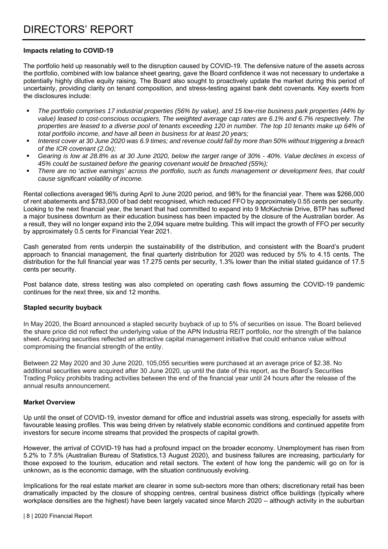#### **Impacts relating to COVID-19**

The portfolio held up reasonably well to the disruption caused by COVID-19. The defensive nature of the assets across the portfolio, combined with low balance sheet gearing, gave the Board confidence it was not necessary to undertake a potentially highly dilutive equity raising. The Board also sought to proactively update the market during this period of uncertainty, providing clarity on tenant composition, and stress-testing against bank debt covenants. Key exerts from the disclosures include:

- *The portfolio comprises 17 industrial properties (56% by value), and 15 low-rise business park properties (44% by value) leased to cost-conscious occupiers. The weighted average cap rates are 6.1% and 6.7% respectively. The properties are leased to a diverse pool of tenants exceeding 120 in number. The top 10 tenants make up 64% of total portfolio income, and have all been in business for at least 20 years;*
- *Interest cover at 30 June 2020 was 6.9 times; and revenue could fall by more than 50% without triggering a breach of the ICR covenant (2.0x);*
- *Gearing is low at 28.8% as at 30 June 2020, below the target range of 30% 40%. Value declines in excess of 45% could be sustained before the gearing covenant would be breached (55%);*
- *There are no 'active earnings' across the portfolio, such as funds management or development fees, that could cause significant volatility of income.*

Rental collections averaged 96% during April to June 2020 period, and 98% for the financial year. There was \$266,000 of rent abatements and \$783,000 of bad debt recognised, which reduced FFO by approximately 0.55 cents per security. Looking to the next financial year, the tenant that had committed to expand into 9 McKechnie Drive, BTP has suffered a major business downturn as their education business has been impacted by the closure of the Australian border. As a result, they will no longer expand into the 2,094 square metre building. This will impact the growth of FFO per security by approximately 0.5 cents for Financial Year 2021.

Cash generated from rents underpin the sustainability of the distribution, and consistent with the Board's prudent approach to financial management, the final quarterly distribution for 2020 was reduced by 5% to 4.15 cents. The distribution for the full financial year was 17.275 cents per security, 1.3% lower than the initial stated guidance of 17.5 cents per security.

Post balance date, stress testing was also completed on operating cash flows assuming the COVID-19 pandemic continues for the next three, six and 12 months.

#### **Stapled security buyback**

In May 2020, the Board announced a stapled security buyback of up to 5% of securities on issue. The Board believed the share price did not reflect the underlying value of the APN Industria REIT portfolio, nor the strength of the balance sheet. Acquiring securities reflected an attractive capital management initiative that could enhance value without compromising the financial strength of the entity.

Between 22 May 2020 and 30 June 2020, 105,055 securities were purchased at an average price of \$2.38. No additional securities were acquired after 30 June 2020, up until the date of this report, as the Board's Securities Trading Policy prohibits trading activities between the end of the financial year until 24 hours after the release of the annual results announcement.

#### **Market Overview**

Up until the onset of COVID-19, investor demand for office and industrial assets was strong, especially for assets with favourable leasing profiles. This was being driven by relatively stable economic conditions and continued appetite from investors for secure income streams that provided the prospects of capital growth.

However, the arrival of COVID-19 has had a profound impact on the broader economy. Unemployment has risen from 5.2% to 7.5% (Australian Bureau of Statistics,13 August 2020), and business failures are increasing, particularly for those exposed to the tourism, education and retail sectors. The extent of how long the pandemic will go on for is unknown, as is the economic damage, with the situation continuously evolving.

Implications for the real estate market are clearer in some sub-sectors more than others; discretionary retail has been dramatically impacted by the closure of shopping centres, central business district office buildings (typically where workplace densities are the highest) have been largely vacated since March 2020 – although activity in the suburban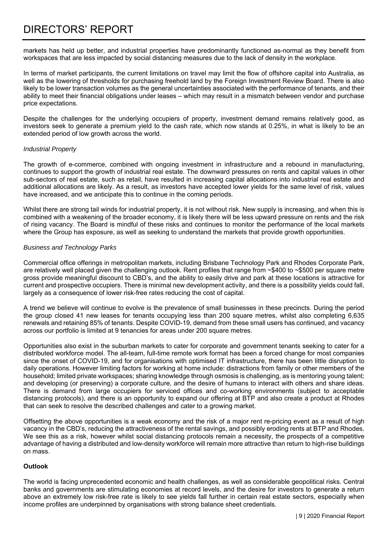markets has held up better, and industrial properties have predominantly functioned as-normal as they benefit from workspaces that are less impacted by social distancing measures due to the lack of density in the workplace.

In terms of market participants, the current limitations on travel may limit the flow of offshore capital into Australia, as well as the lowering of thresholds for purchasing freehold land by the Foreign Investment Review Board. There is also likely to be lower transaction volumes as the general uncertainties associated with the performance of tenants, and their ability to meet their financial obligations under leases – which may result in a mismatch between vendor and purchase price expectations.

Despite the challenges for the underlying occupiers of property, investment demand remains relatively good, as investors seek to generate a premium yield to the cash rate, which now stands at 0.25%, in what is likely to be an extended period of low growth across the world.

#### *Industrial Property*

The growth of e-commerce, combined with ongoing investment in infrastructure and a rebound in manufacturing, continues to support the growth of industrial real estate. The downward pressures on rents and capital values in other sub-sectors of real estate, such as retail, have resulted in increasing capital allocations into industrial real estate and additional allocations are likely. As a result, as investors have accepted lower yields for the same level of risk, values have increased, and we anticipate this to continue in the coming periods.

Whilst there are strong tail winds for industrial property, it is not without risk. New supply is increasing, and when this is combined with a weakening of the broader economy, it is likely there will be less upward pressure on rents and the risk of rising vacancy. The Board is mindful of these risks and continues to monitor the performance of the local markets where the Group has exposure, as well as seeking to understand the markets that provide growth opportunities.

#### *Business and Technology Parks*

Commercial office offerings in metropolitan markets, including Brisbane Technology Park and Rhodes Corporate Park, are relatively well placed given the challenging outlook. Rent profiles that range from  $\sim$ \$400 to  $\sim$ \$500 per square metre gross provide meaningful discount to CBD's, and the ability to easily drive and park at these locations is attractive for current and prospective occupiers. There is minimal new development activity, and there is a possibility yields could fall, largely as a consequence of lower risk-free rates reducing the cost of capital.

A trend we believe will continue to evolve is the prevalence of small businesses in these precincts. During the period the group closed 41 new leases for tenants occupying less than 200 square metres, whilst also completing 6,635 renewals and retaining 85% of tenants. Despite COVID-19, demand from these small users has continued, and vacancy across our portfolio is limited at 9 tenancies for areas under 200 square metres.

Opportunities also exist in the suburban markets to cater for corporate and government tenants seeking to cater for a distributed workforce model. The all-team, full-time remote work format has been a forced change for most companies since the onset of COVID-19, and for organisations with optimised IT infrastructure, there has been little disruption to daily operations. However limiting factors for working at home include: distractions from family or other members of the household; limited private workspaces; sharing knowledge through osmosis is challenging, as is mentoring young talent; and developing (or preserving) a corporate culture, and the desire of humans to interact with others and share ideas. There is demand from large occupiers for serviced offices and co-working environments (subject to acceptable distancing protocols), and there is an opportunity to expand our offering at BTP and also create a product at Rhodes that can seek to resolve the described challenges and cater to a growing market.

Offsetting the above opportunities is a weak economy and the risk of a major rent re-pricing event as a result of high vacancy in the CBD's, reducing the attractiveness of the rental savings, and possibly eroding rents at BTP and Rhodes. We see this as a risk, however whilst social distancing protocols remain a necessity, the prospects of a competitive advantage of having a distributed and low-density workforce will remain more attractive than return to high-rise buildings on mass.

#### **Outlook**

The world is facing unprecedented economic and health challenges, as well as considerable geopolitical risks. Central banks and governments are stimulating economies at record levels, and the desire for investors to generate a return above an extremely low risk-free rate is likely to see yields fall further in certain real estate sectors, especially when income profiles are underpinned by organisations with strong balance sheet credentials.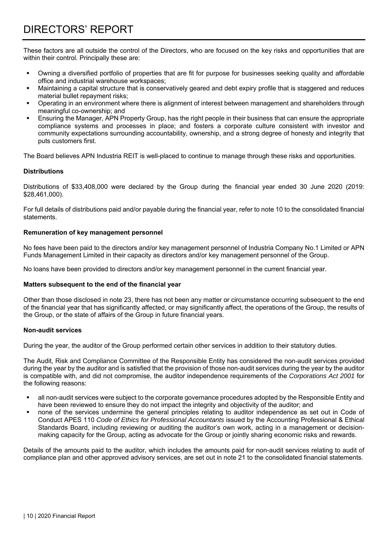These factors are all outside the control of the Directors, who are focused on the key risks and opportunities that are within their control. Principally these are:

- Owning a diversified portfolio of properties that are fit for purpose for businesses seeking quality and affordable office and industrial warehouse workspaces;
- Maintaining a capital structure that is conservatively geared and debt expiry profile that is staggered and reduces material bullet repayment risks;
- Operating in an environment where there is alignment of interest between management and shareholders through meaningful co-ownership; and
- Ensuring the Manager, APN Property Group, has the right people in their business that can ensure the appropriate compliance systems and processes in place; and fosters a corporate culture consistent with investor and community expectations surrounding accountability, ownership, and a strong degree of honesty and integrity that puts customers first.

The Board believes APN Industria REIT is well-placed to continue to manage through these risks and opportunities.

#### **Distributions**

Distributions of \$33,408,000 were declared by the Group during the financial year ended 30 June 2020 (2019: \$28,461,000).

For full details of distributions paid and/or payable during the financial year, refer to note 10 to the consolidated financial statements.

#### **Remuneration of key management personnel**

No fees have been paid to the directors and/or key management personnel of Industria Company No.1 Limited or APN Funds Management Limited in their capacity as directors and/or key management personnel of the Group.

No loans have been provided to directors and/or key management personnel in the current financial year.

#### **Matters subsequent to the end of the financial year**

Other than those disclosed in note 23, there has not been any matter or circumstance occurring subsequent to the end of the financial year that has significantly affected, or may significantly affect, the operations of the Group, the results of the Group, or the state of affairs of the Group in future financial years.

#### **Non-audit services**

During the year, the auditor of the Group performed certain other services in addition to their statutory duties.

The Audit, Risk and Compliance Committee of the Responsible Entity has considered the non-audit services provided during the year by the auditor and is satisfied that the provision of those non-audit services during the year by the auditor is compatible with, and did not compromise, the auditor independence requirements of the *Corporations Act 2001* for the following reasons:

- all non-audit services were subject to the corporate governance procedures adopted by the Responsible Entity and have been reviewed to ensure they do not impact the integrity and objectivity of the auditor; and
- none of the services undermine the general principles relating to auditor independence as set out in Code of Conduct APES 110 *Code of Ethics for Professional Accountants* issued by the Accounting Professional & Ethical Standards Board, including reviewing or auditing the auditor's own work, acting in a management or decisionmaking capacity for the Group, acting as advocate for the Group or jointly sharing economic risks and rewards.

Details of the amounts paid to the auditor, which includes the amounts paid for non-audit services relating to audit of compliance plan and other approved advisory services, are set out in note 21 to the consolidated financial statements.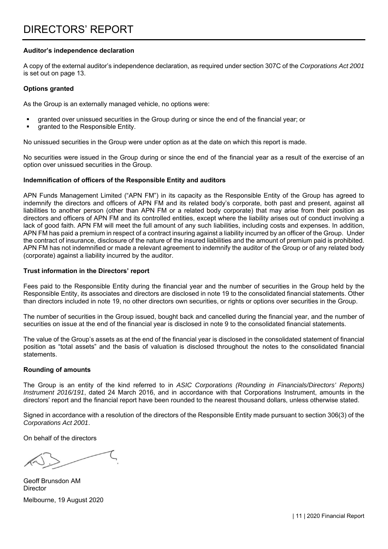#### **Auditor's independence declaration**

A copy of the external auditor's independence declaration, as required under section 307C of the *Corporations Act 2001*  is set out on page 13.

#### **Options granted**

As the Group is an externally managed vehicle, no options were:

- granted over unissued securities in the Group during or since the end of the financial year; or
- granted to the Responsible Entity.

No unissued securities in the Group were under option as at the date on which this report is made.

No securities were issued in the Group during or since the end of the financial year as a result of the exercise of an option over unissued securities in the Group.

#### **Indemnification of officers of the Responsible Entity and auditors**

APN Funds Management Limited ("APN FM") in its capacity as the Responsible Entity of the Group has agreed to indemnify the directors and officers of APN FM and its related body's corporate, both past and present, against all liabilities to another person (other than APN FM or a related body corporate) that may arise from their position as directors and officers of APN FM and its controlled entities, except where the liability arises out of conduct involving a lack of good faith. APN FM will meet the full amount of any such liabilities, including costs and expenses. In addition, APN FM has paid a premium in respect of a contract insuring against a liability incurred by an officer of the Group. Under the contract of insurance, disclosure of the nature of the insured liabilities and the amount of premium paid is prohibited. APN FM has not indemnified or made a relevant agreement to indemnify the auditor of the Group or of any related body (corporate) against a liability incurred by the auditor.

#### **Trust information in the Directors' report**

Fees paid to the Responsible Entity during the financial year and the number of securities in the Group held by the Responsible Entity, its associates and directors are disclosed in note 19 to the consolidated financial statements. Other than directors included in note 19, no other directors own securities, or rights or options over securities in the Group.

The number of securities in the Group issued, bought back and cancelled during the financial year, and the number of securities on issue at the end of the financial year is disclosed in note 9 to the consolidated financial statements.

The value of the Group's assets as at the end of the financial year is disclosed in the consolidated statement of financial position as "total assets" and the basis of valuation is disclosed throughout the notes to the consolidated financial statements.

#### **Rounding of amounts**

The Group is an entity of the kind referred to in *ASIC Corporations (Rounding in Financials/Directors' Reports) Instrument 2016/191*, dated 24 March 2016, and in accordance with that Corporations Instrument, amounts in the directors' report and the financial report have been rounded to the nearest thousand dollars, unless otherwise stated.

Signed in accordance with a resolution of the directors of the Responsible Entity made pursuant to section 306(3) of the *Corporations Act 2001*.

On behalf of the directors

Geoff Brunsdon AM Director Melbourne, 19 August 2020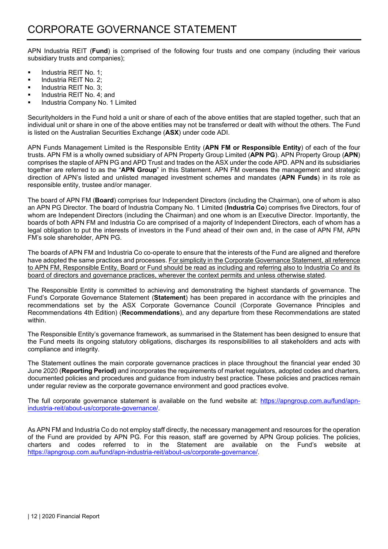APN Industria REIT (**Fund**) is comprised of the following four trusts and one company (including their various subsidiary trusts and companies);

- **Industria REIT No. 1;**
- **Industria REIT No. 2;**
- **IDED** Industria REIT No. 3;
- **Industria REIT No. 4; and**
- Industria Company No. 1 Limited

Securityholders in the Fund hold a unit or share of each of the above entities that are stapled together, such that an individual unit or share in one of the above entities may not be transferred or dealt with without the others. The Fund is listed on the Australian Securities Exchange (**ASX**) under code ADI.

APN Funds Management Limited is the Responsible Entity (**APN FM or Responsible Entity**) of each of the four trusts. APN FM is a wholly owned subsidiary of APN Property Group Limited (**APN PG**). APN Property Group (**APN**) comprises the staple of APN PG and APD Trust and trades on the ASX under the code APD. APN and its subsidiaries together are referred to as the "**APN Group**" in this Statement. APN FM oversees the management and strategic direction of APN's listed and unlisted managed investment schemes and mandates (**APN Funds**) in its role as responsible entity, trustee and/or manager.

The board of APN FM (**Board**) comprises four Independent Directors (including the Chairman), one of whom is also an APN PG Director. The board of Industria Company No. 1 Limited (**Industria Co**) comprises five Directors, four of whom are Independent Directors (including the Chairman) and one whom is an Executive Director. Importantly, the boards of both APN FM and Industria Co are comprised of a majority of Independent Directors, each of whom has a legal obligation to put the interests of investors in the Fund ahead of their own and, in the case of APN FM, APN FM's sole shareholder, APN PG.

The boards of APN FM and Industria Co co-operate to ensure that the interests of the Fund are aligned and therefore have adopted the same practices and processes. For simplicity in the Corporate Governance Statement, all reference to APN FM, Responsible Entity, Board or Fund should be read as including and referring also to Industria Co and its board of directors and governance practices, wherever the context permits and unless otherwise stated.

The Responsible Entity is committed to achieving and demonstrating the highest standards of governance. The Fund's Corporate Governance Statement (**Statement**) has been prepared in accordance with the principles and recommendations set by the ASX Corporate Governance Council (Corporate Governance Principles and Recommendations 4th Edition) (**Recommendations**), and any departure from these Recommendations are stated within.

The Responsible Entity's governance framework, as summarised in the Statement has been designed to ensure that the Fund meets its ongoing statutory obligations, discharges its responsibilities to all stakeholders and acts with compliance and integrity.

The Statement outlines the main corporate governance practices in place throughout the financial year ended 30 June 2020 (**Reporting Period)** and incorporates the requirements of market regulators, adopted codes and charters, documented policies and procedures and guidance from industry best practice. These policies and practices remain under regular review as the corporate governance environment and good practices evolve.

The full corporate governance statement is available on the fund website at: https://apngroup.com.au/fund/apnindustria-reit/about-us/corporate-governance/.

As APN FM and Industria Co do not employ staff directly, the necessary management and resources for the operation of the Fund are provided by APN PG. For this reason, staff are governed by APN Group policies. The policies, charters and codes referred to in the Statement are available on the Fund's website at https://apngroup.com.au/fund/apn-industria-reit/about-us/corporate-governance/.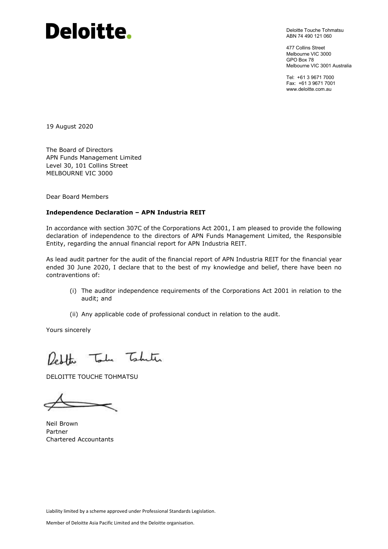# Deloitte.

Deloitte Touche Tohmatsu ABN 74 490 121 060

477 Collins Street Melbourne VIC 3000 GPO Box 78 Melbourne VIC 3001 Australia

Tel: +61 3 9671 7000 Fax: +61 3 9671 7001 www.deloitte.com.au

19 August 2020

The Board of Directors APN Funds Management Limited Level 30, 101 Collins Street MELBOURNE VIC 3000

Dear Board Members

#### **Independence Declaration – APN Industria REIT**

In accordance with section 307C of the Corporations Act 2001, I am pleased to provide the following declaration of independence to the directors of APN Funds Management Limited, the Responsible Entity, regarding the annual financial report for APN Industria REIT.

As lead audit partner for the audit of the financial report of APN Industria REIT for the financial year ended 30 June 2020, I declare that to the best of my knowledge and belief, there have been no contraventions of:

- (i) The auditor independence requirements of the Corporations Act 2001 in relation to the audit; and
- (ii) Any applicable code of professional conduct in relation to the audit.

Yours sincerely

Redthe Toda Taketa

DELOITTE TOUCHE TOHMATSU

Neil Brown Partner Chartered Accountants

Liability limited by a scheme approved under Professional Standards Legislation.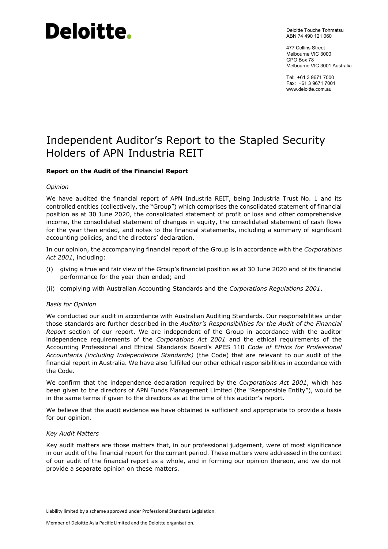# Deloitte.

Deloitte Touche Tohmatsu ABN 74 490 121 060

477 Collins Street Melbourne VIC 3000 GPO Box 78 Melbourne VIC 3001 Australia

Tel: +61 3 9671 7000 Fax: +61 3 9671 7001 www.deloitte.com.au

## Independent Auditor's Report to the Stapled Security Holders of APN Industria REIT

#### **Report on the Audit of the Financial Report**

#### *Opinion*

We have audited the financial report of APN Industria REIT, being Industria Trust No. 1 and its controlled entities (collectively, the "Group") which comprises the consolidated statement of financial position as at 30 June 2020, the consolidated statement of profit or loss and other comprehensive income, the consolidated statement of changes in equity, the consolidated statement of cash flows for the year then ended, and notes to the financial statements, including a summary of significant accounting policies, and the directors' declaration.

In our opinion, the accompanying financial report of the Group is in accordance with the *Corporations Act 2001*, including:

- (i) giving a true and fair view of the Group's financial position as at 30 June 2020 and of its financial performance for the year then ended; and
- (ii) complying with Australian Accounting Standards and the *Corporations Regulations 2001*.

#### *Basis for Opinion*

We conducted our audit in accordance with Australian Auditing Standards. Our responsibilities under those standards are further described in the *Auditor's Responsibilities for the Audit of the Financial Report* section of our report. We are independent of the Group in accordance with the auditor independence requirements of the *Corporations Act 2001* and the ethical requirements of the Accounting Professional and Ethical Standards Board's APES 110 *Code of Ethics for Professional Accountants (including Independence Standards)* (the Code) that are relevant to our audit of the financial report in Australia. We have also fulfilled our other ethical responsibilities in accordance with the Code.

We confirm that the independence declaration required by the *Corporations Act 2001*, which has been given to the directors of APN Funds Management Limited (the "Responsible Entity"), would be in the same terms if given to the directors as at the time of this auditor's report.

We believe that the audit evidence we have obtained is sufficient and appropriate to provide a basis for our opinion.

#### *Key Audit Matters*

Key audit matters are those matters that, in our professional judgement, were of most significance in our audit of the financial report for the current period. These matters were addressed in the context of our audit of the financial report as a whole, and in forming our opinion thereon, and we do not provide a separate opinion on these matters.

Liability limited by a scheme approved under Professional Standards Legislation.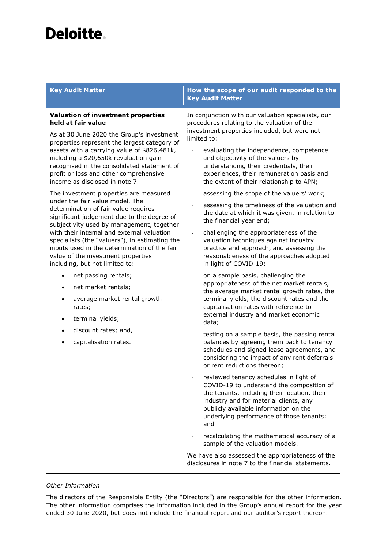## Deloitte.

| <b>Key Audit Matter</b>                                                                                                                                                                                                                                                                                                                                                          | How the scope of our audit responded to the<br><b>Key Audit Matter</b>                                                                                                                                                                                                                                                                                                              |
|----------------------------------------------------------------------------------------------------------------------------------------------------------------------------------------------------------------------------------------------------------------------------------------------------------------------------------------------------------------------------------|-------------------------------------------------------------------------------------------------------------------------------------------------------------------------------------------------------------------------------------------------------------------------------------------------------------------------------------------------------------------------------------|
| <b>Valuation of investment properties</b><br>held at fair value<br>As at 30 June 2020 the Group's investment<br>properties represent the largest category of<br>assets with a carrying value of \$826,481k,<br>including a \$20,650k revaluation gain<br>recognised in the consolidated statement of<br>profit or loss and other comprehensive<br>income as disclosed in note 7. | In conjunction with our valuation specialists, our<br>procedures relating to the valuation of the<br>investment properties included, but were not<br>limited to:<br>evaluating the independence, competence<br>and objectivity of the valuers by<br>understanding their credentials, their<br>experiences, their remuneration basis and<br>the extent of their relationship to APN; |
| The investment properties are measured<br>under the fair value model. The<br>determination of fair value requires<br>significant judgement due to the degree of                                                                                                                                                                                                                  | assessing the scope of the valuers' work;<br>assessing the timeliness of the valuation and<br>the date at which it was given, in relation to<br>the financial year end;                                                                                                                                                                                                             |
| subjectivity used by management, together<br>with their internal and external valuation<br>specialists (the "valuers"), in estimating the<br>inputs used in the determination of the fair<br>value of the investment properties<br>including, but not limited to:                                                                                                                | challenging the appropriateness of the<br>valuation techniques against industry<br>practice and approach, and assessing the<br>reasonableness of the approaches adopted<br>in light of COVID-19;                                                                                                                                                                                    |
| net passing rentals;<br>$\bullet$<br>net market rentals;<br>$\bullet$<br>average market rental growth<br>rates;<br>terminal yields;<br>$\bullet$                                                                                                                                                                                                                                 | on a sample basis, challenging the<br>appropriateness of the net market rentals,<br>the average market rental growth rates, the<br>terminal yields, the discount rates and the<br>capitalisation rates with reference to<br>external industry and market economic<br>data;                                                                                                          |
| discount rates; and,<br>$\bullet$<br>capitalisation rates.                                                                                                                                                                                                                                                                                                                       | testing on a sample basis, the passing rental<br>balances by agreeing them back to tenancy<br>schedules and signed lease agreements, and<br>considering the impact of any rent deferrals<br>or rent reductions thereon;                                                                                                                                                             |
|                                                                                                                                                                                                                                                                                                                                                                                  | reviewed tenancy schedules in light of<br>COVID-19 to understand the composition of<br>the tenants, including their location, their<br>industry and for material clients, any<br>publicly available information on the<br>underlying performance of those tenants;<br>and                                                                                                           |
|                                                                                                                                                                                                                                                                                                                                                                                  | recalculating the mathematical accuracy of a<br>sample of the valuation models.                                                                                                                                                                                                                                                                                                     |
|                                                                                                                                                                                                                                                                                                                                                                                  | We have also assessed the appropriateness of the<br>disclosures in note 7 to the financial statements.                                                                                                                                                                                                                                                                              |

#### *Other Information*

The directors of the Responsible Entity (the "Directors") are responsible for the other information. The other information comprises the information included in the Group's annual report for the year ended 30 June 2020, but does not include the financial report and our auditor's report thereon.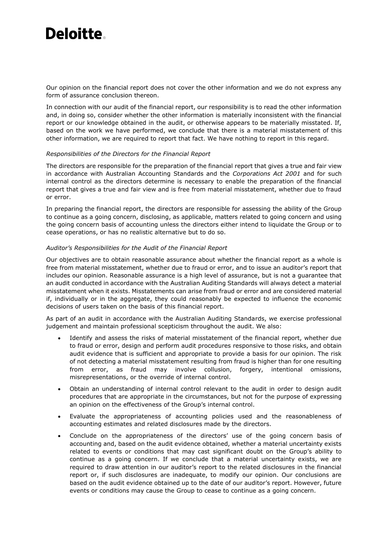## **Deloitte**

Our opinion on the financial report does not cover the other information and we do not express any form of assurance conclusion thereon.

In connection with our audit of the financial report, our responsibility is to read the other information and, in doing so, consider whether the other information is materially inconsistent with the financial report or our knowledge obtained in the audit, or otherwise appears to be materially misstated. If, based on the work we have performed, we conclude that there is a material misstatement of this other information, we are required to report that fact. We have nothing to report in this regard.

#### *Responsibilities of the Directors for the Financial Report*

The directors are responsible for the preparation of the financial report that gives a true and fair view in accordance with Australian Accounting Standards and the *Corporations Act 2001* and for such internal control as the directors determine is necessary to enable the preparation of the financial report that gives a true and fair view and is free from material misstatement, whether due to fraud or error.

In preparing the financial report, the directors are responsible for assessing the ability of the Group to continue as a going concern, disclosing, as applicable, matters related to going concern and using the going concern basis of accounting unless the directors either intend to liquidate the Group or to cease operations, or has no realistic alternative but to do so.

#### *Auditor's Responsibilities for the Audit of the Financial Report*

Our objectives are to obtain reasonable assurance about whether the financial report as a whole is free from material misstatement, whether due to fraud or error, and to issue an auditor's report that includes our opinion. Reasonable assurance is a high level of assurance, but is not a guarantee that an audit conducted in accordance with the Australian Auditing Standards will always detect a material misstatement when it exists. Misstatements can arise from fraud or error and are considered material if, individually or in the aggregate, they could reasonably be expected to influence the economic decisions of users taken on the basis of this financial report.

As part of an audit in accordance with the Australian Auditing Standards, we exercise professional judgement and maintain professional scepticism throughout the audit. We also:

- Identify and assess the risks of material misstatement of the financial report, whether due to fraud or error, design and perform audit procedures responsive to those risks, and obtain audit evidence that is sufficient and appropriate to provide a basis for our opinion. The risk of not detecting a material misstatement resulting from fraud is higher than for one resulting from error, as fraud may involve collusion, forgery, intentional omissions, misrepresentations, or the override of internal control.
- Obtain an understanding of internal control relevant to the audit in order to design audit procedures that are appropriate in the circumstances, but not for the purpose of expressing an opinion on the effectiveness of the Group's internal control.
- Evaluate the appropriateness of accounting policies used and the reasonableness of accounting estimates and related disclosures made by the directors.
- Conclude on the appropriateness of the directors' use of the going concern basis of accounting and, based on the audit evidence obtained, whether a material uncertainty exists related to events or conditions that may cast significant doubt on the Group's ability to continue as a going concern. If we conclude that a material uncertainty exists, we are required to draw attention in our auditor's report to the related disclosures in the financial report or, if such disclosures are inadequate, to modify our opinion. Our conclusions are based on the audit evidence obtained up to the date of our auditor's report. However, future events or conditions may cause the Group to cease to continue as a going concern.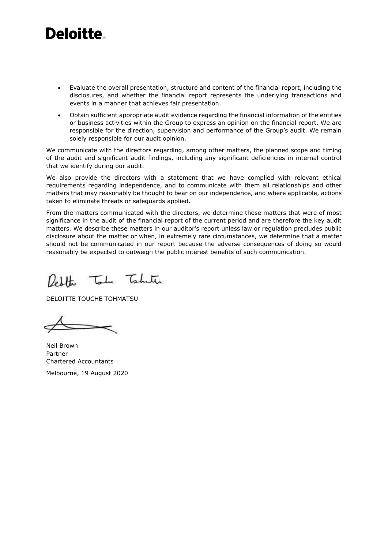## **Deloitte**

- Evaluate the overall presentation, structure and content of the financial report, including the disclosures, and whether the financial report represents the underlying transactions and events in a manner that achieves fair presentation.
- Obtain sufficient appropriate audit evidence regarding the financial information of the entities or business activities within the Group to express an opinion on the financial report. We are responsible for the direction, supervision and performance of the Group's audit. We remain solely responsible for our audit opinion.

We communicate with the directors regarding, among other matters, the planned scope and timing of the audit and significant audit findings, including any significant deficiencies in internal control that we identify during our audit.

We also provide the directors with a statement that we have complied with relevant ethical requirements regarding independence, and to communicate with them all relationships and other matters that may reasonably be thought to bear on our independence, and where applicable, actions taken to eliminate threats or safeguards applied.

From the matters communicated with the directors, we determine those matters that were of most significance in the audit of the financial report of the current period and are therefore the key audit matters. We describe these matters in our auditor's report unless law or regulation precludes public disclosure about the matter or when, in extremely rare circumstances, we determine that a matter should not be communicated in our report because the adverse consequences of doing so would reasonably be expected to outweigh the public interest benefits of such communication.

Redthe Take Taketer

DELOITTE TOUCHE TOHMATSU

Neil Brown Partner Chartered Accountants Melbourne, 19 August 2020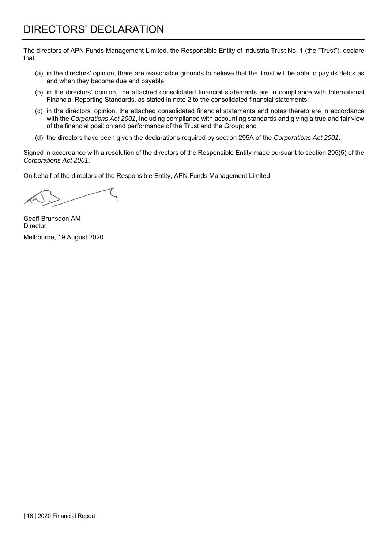The directors of APN Funds Management Limited, the Responsible Entity of Industria Trust No. 1 (the "Trust"), declare that:

- (a) in the directors' opinion, there are reasonable grounds to believe that the Trust will be able to pay its debts as and when they become due and payable;
- (b) in the directors' opinion, the attached consolidated financial statements are in compliance with International Financial Reporting Standards, as stated in note 2 to the consolidated financial statements;
- (c) in the directors' opinion, the attached consolidated financial statements and notes thereto are in accordance with the *Corporations Act 2001*, including compliance with accounting standards and giving a true and fair view of the financial position and performance of the Trust and the Group; and
- (d) the directors have been given the declarations required by section 295A of the *Corporations Act 2001*.

Signed in accordance with a resolution of the directors of the Responsible Entity made pursuant to section 295(5) of the *Corporations Act 2001*.

On behalf of the directors of the Responsible Entity, APN Funds Management Limited.

Geoff Brunsdon AM **Director** Melbourne, 19 August 2020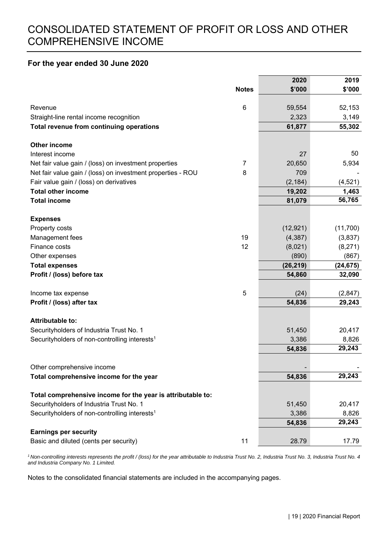#### **For the year ended 30 June 2020**

|                                                             |                | 2020      | 2019      |
|-------------------------------------------------------------|----------------|-----------|-----------|
|                                                             | <b>Notes</b>   | \$'000    | \$'000    |
|                                                             |                |           |           |
| Revenue                                                     | $\,6$          | 59,554    | 52,153    |
| Straight-line rental income recognition                     |                | 2,323     | 3,149     |
| Total revenue from continuing operations                    |                | 61,877    | 55,302    |
| <b>Other income</b>                                         |                |           |           |
| Interest income                                             |                | 27        | 50        |
| Net fair value gain / (loss) on investment properties       | $\overline{7}$ | 20,650    | 5,934     |
| Net fair value gain / (loss) on investment properties - ROU | 8              | 709       |           |
| Fair value gain / (loss) on derivatives                     |                | (2, 184)  | (4,521)   |
| <b>Total other income</b>                                   |                | 19,202    | 1,463     |
| <b>Total income</b>                                         |                | 81,079    | 56,765    |
| <b>Expenses</b>                                             |                |           |           |
| Property costs                                              |                | (12, 921) | (11,700)  |
| Management fees                                             | 19             | (4, 387)  | (3,837)   |
| Finance costs                                               | 12             | (8,021)   | (8,271)   |
| Other expenses                                              |                | (890)     | (867)     |
| <b>Total expenses</b>                                       |                | (26, 219) | (24, 675) |
| Profit / (loss) before tax                                  |                | 54,860    | 32,090    |
|                                                             |                |           |           |
| Income tax expense                                          | $\mathbf 5$    | (24)      | (2,847)   |
| Profit / (loss) after tax                                   |                | 54,836    | 29,243    |
| <b>Attributable to:</b>                                     |                |           |           |
| Securityholders of Industria Trust No. 1                    |                | 51,450    | 20,417    |
| Securityholders of non-controlling interests <sup>1</sup>   |                | 3,386     | 8,826     |
|                                                             |                | 54,836    | 29,243    |
|                                                             |                |           |           |
| Other comprehensive income                                  |                |           |           |
| Total comprehensive income for the year                     |                | 54,836    | 29,243    |
| Total comprehensive income for the year is attributable to: |                |           |           |
| Securityholders of Industria Trust No. 1                    |                | 51,450    | 20,417    |
| Securityholders of non-controlling interests <sup>1</sup>   |                | 3,386     | 8,826     |
|                                                             |                | 54,836    | 29,243    |
| <b>Earnings per security</b>                                |                |           |           |
| Basic and diluted (cents per security)                      | 11             | 28.79     | 17.79     |

*1 Non-controlling interests represents the profit / (loss) for the year attributable to Industria Trust No. 2, Industria Trust No. 3, Industria Trust No. 4 and Industria Company No. 1 Limited.*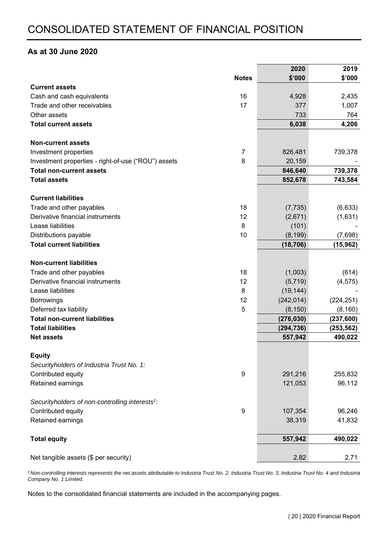#### **As at 30 June 2020**

|                                                             |                  | 2020       | 2019       |
|-------------------------------------------------------------|------------------|------------|------------|
|                                                             | <b>Notes</b>     | \$'000     | \$'000     |
| <b>Current assets</b>                                       |                  |            |            |
| Cash and cash equivalents                                   | 16               | 4,928      | 2,435      |
| Trade and other receivables                                 | 17               | 377        | 1,007      |
| Other assets                                                |                  | 733        | 764        |
| <b>Total current assets</b>                                 |                  | 6,038      | 4,206      |
|                                                             |                  |            |            |
| <b>Non-current assets</b>                                   |                  |            |            |
| Investment properties                                       | $\overline{7}$   | 826,481    | 739,378    |
| Investment properties - right-of-use ("ROU") assets         | 8                | 20,159     |            |
| <b>Total non-current assets</b>                             |                  | 846,640    | 739,378    |
| <b>Total assets</b>                                         |                  | 852,678    | 743,584    |
| <b>Current liabilities</b>                                  |                  |            |            |
| Trade and other payables                                    | 18               | (7, 735)   | (6,633)    |
| Derivative financial instruments                            | 12               | (2,671)    | (1,631)    |
| Lease liabilities                                           | 8                | (101)      |            |
| Distributions payable                                       | 10               | (8, 199)   | (7,698)    |
| <b>Total current liabilities</b>                            |                  | (18, 706)  | (15, 962)  |
| <b>Non-current liabilities</b>                              |                  |            |            |
| Trade and other payables                                    | 18               | (1,003)    | (614)      |
| Derivative financial instruments                            | 12               | (5,719)    | (4, 575)   |
| Lease liabilities                                           | 8                | (19, 144)  |            |
| <b>Borrowings</b>                                           | 12               | (242, 014) | (224, 251) |
| Deferred tax liability                                      | 5                | (8, 150)   | (8, 160)   |
| <b>Total non-current liabilities</b>                        |                  | (276, 030) | (237, 600) |
| <b>Total liabilities</b>                                    |                  | (294, 736) | (253, 562) |
| <b>Net assets</b>                                           |                  | 557,942    | 490,022    |
|                                                             |                  |            |            |
| <b>Equity</b>                                               |                  |            |            |
| Securityholders of Industria Trust No. 1:                   |                  |            |            |
| Contributed equity                                          | $\boldsymbol{9}$ | 291,216    | 255,832    |
| Retained earnings                                           |                  | 121,053    | 96,112     |
| Securityholders of non-controlling interests <sup>1</sup> : |                  |            |            |
| Contributed equity                                          | 9                | 107,354    | 96,246     |
| Retained earnings                                           |                  | 38,319     | 41,832     |
|                                                             |                  |            |            |
| <b>Total equity</b>                                         |                  | 557,942    | 490,022    |
| Net tangible assets (\$ per security)                       |                  | 2.82       | 2.71       |
|                                                             |                  |            |            |

*1 Non-controlling interests represents the net assets attributable to Industria Trust No. 2, Industria Trust No. 3, Industria Trust No. 4 and Industria Company No. 1 Limited.*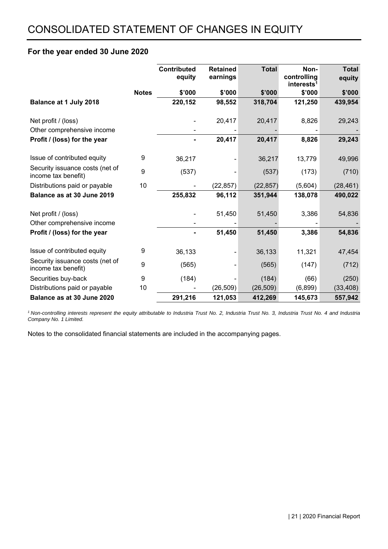#### **For the year ended 30 June 2020**

|                                                        |              | <b>Contributed</b><br>equity | <b>Retained</b><br>earnings | <b>Total</b> | Non-<br>controlling<br>interests <sup>1</sup> | <b>Total</b><br>equity |
|--------------------------------------------------------|--------------|------------------------------|-----------------------------|--------------|-----------------------------------------------|------------------------|
|                                                        | <b>Notes</b> | \$'000                       | \$'000                      | \$'000       | \$'000                                        | \$'000                 |
| Balance at 1 July 2018                                 |              | 220,152                      | 98,552                      | 318,704      | 121,250                                       | 439,954                |
| Net profit / (loss)                                    |              |                              | 20,417                      | 20,417       | 8,826                                         | 29,243                 |
| Other comprehensive income                             |              |                              |                             |              |                                               |                        |
| Profit / (loss) for the year                           |              |                              | 20,417                      | 20,417       | 8,826                                         | 29,243                 |
| Issue of contributed equity                            | 9            | 36,217                       |                             | 36,217       | 13,779                                        | 49,996                 |
| Security issuance costs (net of<br>income tax benefit) | 9            | (537)                        |                             | (537)        | (173)                                         | (710)                  |
| Distributions paid or payable                          | 10           |                              | (22, 857)                   | (22, 857)    | (5,604)                                       | (28, 461)              |
| Balance as at 30 June 2019                             |              | 255,832                      | 96,112                      | 351,944      | 138,078                                       | 490,022                |
| Net profit / (loss)                                    |              |                              | 51,450                      | 51,450       | 3,386                                         | 54,836                 |
| Other comprehensive income                             |              |                              |                             |              |                                               |                        |
| Profit / (loss) for the year                           |              |                              | 51,450                      | 51,450       | 3,386                                         | 54,836                 |
| Issue of contributed equity                            | 9            | 36,133                       |                             | 36,133       | 11,321                                        | 47,454                 |
| Security issuance costs (net of<br>income tax benefit) | 9            | (565)                        |                             | (565)        | (147)                                         | (712)                  |
| Securities buy-back                                    | 9            | (184)                        |                             | (184)        | (66)                                          | (250)                  |
| Distributions paid or payable                          | 10           |                              | (26, 509)                   | (26, 509)    | (6,899)                                       | (33, 408)              |
| Balance as at 30 June 2020                             |              | 291,216                      | 121,053                     | 412,269      | 145,673                                       | 557,942                |

<sup>1</sup> Non-controlling interests represent the equity attributable to Industria Trust No. 2, Industria Trust No. 1 and Industria Trust No. 4 and Industria *Company No. 1 Limited.*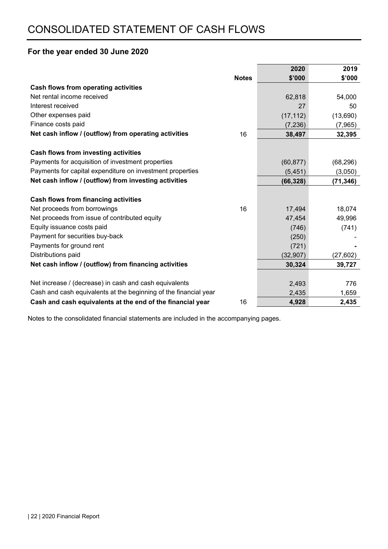### **For the year ended 30 June 2020**

|                                                                  |              | 2020      | 2019      |
|------------------------------------------------------------------|--------------|-----------|-----------|
|                                                                  | <b>Notes</b> | \$'000    | \$'000    |
| Cash flows from operating activities                             |              |           |           |
| Net rental income received                                       |              | 62,818    | 54,000    |
| Interest received                                                |              | 27        | 50        |
| Other expenses paid                                              |              | (17, 112) | (13,690)  |
| Finance costs paid                                               |              | (7, 236)  | (7,965)   |
| Net cash inflow / (outflow) from operating activities            | 16           | 38,497    | 32,395    |
|                                                                  |              |           |           |
| Cash flows from investing activities                             |              |           |           |
| Payments for acquisition of investment properties                |              | (60, 877) | (68, 296) |
| Payments for capital expenditure on investment properties        |              | (5, 451)  | (3,050)   |
| Net cash inflow / (outflow) from investing activities            |              | (66, 328) | (71, 346) |
|                                                                  |              |           |           |
| <b>Cash flows from financing activities</b>                      |              |           |           |
| Net proceeds from borrowings                                     | 16           | 17,494    | 18,074    |
| Net proceeds from issue of contributed equity                    |              | 47,454    | 49,996    |
| Equity issuance costs paid                                       |              | (746)     | (741)     |
| Payment for securities buy-back                                  |              | (250)     |           |
| Payments for ground rent                                         |              | (721)     |           |
| Distributions paid                                               |              | (32, 907) | (27, 602) |
| Net cash inflow / (outflow) from financing activities            |              | 30,324    | 39,727    |
|                                                                  |              |           |           |
| Net increase / (decrease) in cash and cash equivalents           |              | 2,493     | 776       |
| Cash and cash equivalents at the beginning of the financial year |              | 2,435     | 1,659     |
| Cash and cash equivalents at the end of the financial year       | 16           | 4,928     | 2,435     |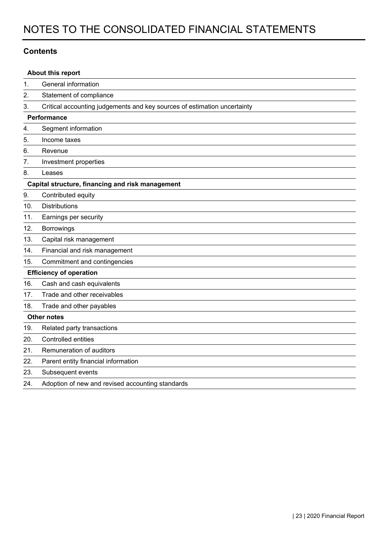#### **Contents**

|     | About this report                                                        |
|-----|--------------------------------------------------------------------------|
| 1.  | General information                                                      |
| 2.  | Statement of compliance                                                  |
| 3.  | Critical accounting judgements and key sources of estimation uncertainty |
|     | Performance                                                              |
| 4.  | Segment information                                                      |
| 5.  | Income taxes                                                             |
| 6.  | Revenue                                                                  |
| 7.  | Investment properties                                                    |
| 8.  | Leases                                                                   |
|     | Capital structure, financing and risk management                         |
| 9.  | Contributed equity                                                       |
| 10. | <b>Distributions</b>                                                     |
| 11. | Earnings per security                                                    |
| 12. | Borrowings                                                               |
| 13. | Capital risk management                                                  |
| 14. | Financial and risk management                                            |
| 15. | Commitment and contingencies                                             |
|     | <b>Efficiency of operation</b>                                           |
| 16. | Cash and cash equivalents                                                |
| 17. | Trade and other receivables                                              |
| 18. | Trade and other payables                                                 |
|     | <b>Other notes</b>                                                       |
| 19. | Related party transactions                                               |
| 20. | Controlled entities                                                      |
| 21. | Remuneration of auditors                                                 |
| 22. | Parent entity financial information                                      |
| 23. | Subsequent events                                                        |
| 24. | Adoption of new and revised accounting standards                         |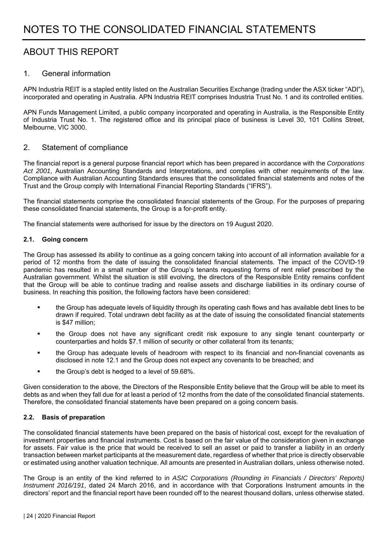## ABOUT THIS REPORT

#### 1. General information

APN Industria REIT is a stapled entity listed on the Australian Securities Exchange (trading under the ASX ticker "ADI"), incorporated and operating in Australia. APN Industria REIT comprises Industria Trust No. 1 and its controlled entities.

APN Funds Management Limited, a public company incorporated and operating in Australia, is the Responsible Entity of Industria Trust No. 1. The registered office and its principal place of business is Level 30, 101 Collins Street, Melbourne, VIC 3000.

#### 2. Statement of compliance

The financial report is a general purpose financial report which has been prepared in accordance with the *Corporations Act 2001*, Australian Accounting Standards and Interpretations, and complies with other requirements of the law. Compliance with Australian Accounting Standards ensures that the consolidated financial statements and notes of the Trust and the Group comply with International Financial Reporting Standards ("IFRS").

The financial statements comprise the consolidated financial statements of the Group. For the purposes of preparing these consolidated financial statements, the Group is a for-profit entity.

The financial statements were authorised for issue by the directors on 19 August 2020.

#### **2.1. Going concern**

The Group has assessed its ability to continue as a going concern taking into account of all information available for a period of 12 months from the date of issuing the consolidated financial statements. The impact of the COVID-19 pandemic has resulted in a small number of the Group's tenants requesting forms of rent relief prescribed by the Australian government. Whilst the situation is still evolving, the directors of the Responsible Entity remains confident that the Group will be able to continue trading and realise assets and discharge liabilities in its ordinary course of business. In reaching this position, the following factors have been considered:

- the Group has adequate levels of liquidity through its operating cash flows and has available debt lines to be drawn if required. Total undrawn debt facility as at the date of issuing the consolidated financial statements is \$47 million;
- the Group does not have any significant credit risk exposure to any single tenant counterparty or counterparties and holds \$7.1 million of security or other collateral from its tenants;
- the Group has adequate levels of headroom with respect to its financial and non-financial covenants as disclosed in note 12.1 and the Group does not expect any covenants to be breached; and
- the Group's debt is hedged to a level of 59.68%.

Given consideration to the above, the Directors of the Responsible Entity believe that the Group will be able to meet its debts as and when they fall due for at least a period of 12 months from the date of the consolidated financial statements. Therefore, the consolidated financial statements have been prepared on a going concern basis.

#### **2.2. Basis of preparation**

The consolidated financial statements have been prepared on the basis of historical cost, except for the revaluation of investment properties and financial instruments. Cost is based on the fair value of the consideration given in exchange for assets. Fair value is the price that would be received to sell an asset or paid to transfer a liability in an orderly transaction between market participants at the measurement date, regardless of whether that price is directly observable or estimated using another valuation technique. All amounts are presented in Australian dollars, unless otherwise noted.

The Group is an entity of the kind referred to in *ASIC Corporations (Rounding in Financials / Directors' Reports) Instrument 2016/191*, dated 24 March 2016, and in accordance with that Corporations Instrument amounts in the directors' report and the financial report have been rounded off to the nearest thousand dollars, unless otherwise stated.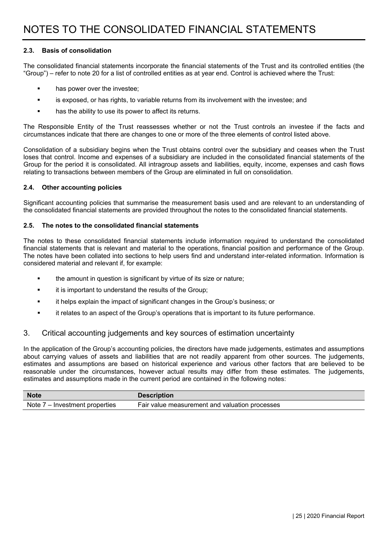#### **2.3. Basis of consolidation**

The consolidated financial statements incorporate the financial statements of the Trust and its controlled entities (the "Group") – refer to note 20 for a list of controlled entities as at year end. Control is achieved where the Trust:

- **has power over the investee;**
- **EXECT** is exposed, or has rights, to variable returns from its involvement with the investee; and
- has the ability to use its power to affect its returns.

The Responsible Entity of the Trust reassesses whether or not the Trust controls an investee if the facts and circumstances indicate that there are changes to one or more of the three elements of control listed above.

Consolidation of a subsidiary begins when the Trust obtains control over the subsidiary and ceases when the Trust loses that control. Income and expenses of a subsidiary are included in the consolidated financial statements of the Group for the period it is consolidated. All intragroup assets and liabilities, equity, income, expenses and cash flows relating to transactions between members of the Group are eliminated in full on consolidation.

#### **2.4. Other accounting policies**

Significant accounting policies that summarise the measurement basis used and are relevant to an understanding of the consolidated financial statements are provided throughout the notes to the consolidated financial statements.

#### **2.5. The notes to the consolidated financial statements**

The notes to these consolidated financial statements include information required to understand the consolidated financial statements that is relevant and material to the operations, financial position and performance of the Group. The notes have been collated into sections to help users find and understand inter-related information. Information is considered material and relevant if, for example:

- **the amount in question is significant by virtue of its size or nature;**
- **if it is important to understand the results of the Group;**
- it helps explain the impact of significant changes in the Group's business; or
- it relates to an aspect of the Group's operations that is important to its future performance.

#### 3. Critical accounting judgements and key sources of estimation uncertainty

In the application of the Group's accounting policies, the directors have made judgements, estimates and assumptions about carrying values of assets and liabilities that are not readily apparent from other sources. The judgements, estimates and assumptions are based on historical experience and various other factors that are believed to be reasonable under the circumstances, however actual results may differ from these estimates. The judgements, estimates and assumptions made in the current period are contained in the following notes:

| <b>Note</b>                    | <b>Description</b>                             |
|--------------------------------|------------------------------------------------|
| Note 7 – Investment properties | Fair value measurement and valuation processes |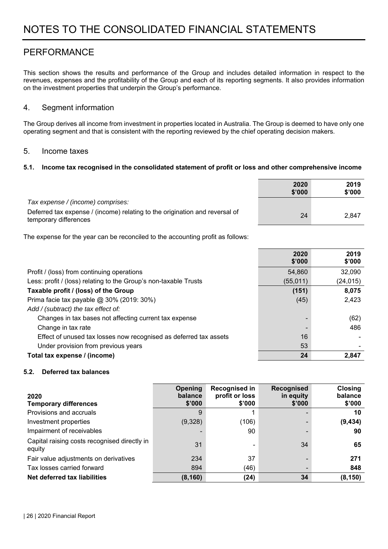## PERFORMANCE

This section shows the results and performance of the Group and includes detailed information in respect to the revenues, expenses and the profitability of the Group and each of its reporting segments. It also provides information on the investment properties that underpin the Group's performance.

#### 4. Segment information

The Group derives all income from investment in properties located in Australia. The Group is deemed to have only one operating segment and that is consistent with the reporting reviewed by the chief operating decision makers.

#### 5. Income taxes

#### **5.1. Income tax recognised in the consolidated statement of profit or loss and other comprehensive income**

|                                                                                                      | 2020<br>\$'000 | 2019<br>\$'000 |
|------------------------------------------------------------------------------------------------------|----------------|----------------|
| Tax expense / (income) comprises:                                                                    |                |                |
| Deferred tax expense / (income) relating to the origination and reversal of<br>temporary differences | 24             | 2,847          |

The expense for the year can be reconciled to the accounting profit as follows:

|                                                                   | 2020<br>\$'000 | 2019<br>\$'000 |
|-------------------------------------------------------------------|----------------|----------------|
| Profit / (loss) from continuing operations                        | 54,860         | 32,090         |
| Less: profit / (loss) relating to the Group's non-taxable Trusts  | (55, 011)      | (24, 015)      |
| Taxable profit / (loss) of the Group                              | (151)          | 8,075          |
| Prima facie tax payable @ 30% (2019: 30%)                         | (45)           | 2,423          |
| Add / (subtract) the tax effect of:                               |                |                |
| Changes in tax bases not affecting current tax expense            |                | (62)           |
| Change in tax rate                                                |                | 486            |
| Effect of unused tax losses now recognised as deferred tax assets | 16             |                |
| Under provision from previous years                               | 53             |                |
| Total tax expense / (income)                                      | 24             | 2.847          |

#### **5.2. Deferred tax balances**

| 2020<br><b>Temporary differences</b>                   | Opening<br>balance<br>\$'000 | <b>Recognised in</b><br>profit or loss<br>\$'000 | <b>Recognised</b><br>in equity<br>\$'000 | <b>Closing</b><br>balance<br>\$'000 |
|--------------------------------------------------------|------------------------------|--------------------------------------------------|------------------------------------------|-------------------------------------|
| Provisions and accruals                                | 9                            |                                                  |                                          | 10                                  |
| Investment properties                                  | (9,328)                      | (106)                                            |                                          | (9, 434)                            |
| Impairment of receivables                              |                              | 90                                               |                                          | 90                                  |
| Capital raising costs recognised directly in<br>equity | 31                           |                                                  | 34                                       | 65                                  |
| Fair value adjustments on derivatives                  | 234                          | 37                                               |                                          | 271                                 |
| Tax losses carried forward                             | 894                          | (46)                                             |                                          | 848                                 |
| Net deferred tax liabilities                           | (8, 160)                     | (24)                                             | 34                                       | (8, 150)                            |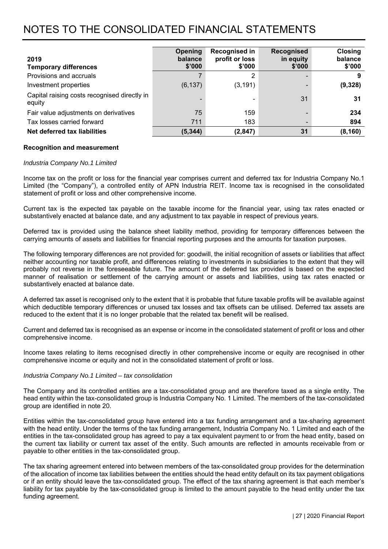| 2019<br><b>Temporary differences</b>                   | Opening<br>balance<br>\$'000 | <b>Recognised in</b><br>profit or loss<br>\$'000 | <b>Recognised</b><br>in equity<br>\$'000 | <b>Closing</b><br>balance<br>\$'000 |
|--------------------------------------------------------|------------------------------|--------------------------------------------------|------------------------------------------|-------------------------------------|
| Provisions and accruals                                |                              | 2                                                |                                          |                                     |
| Investment properties                                  | (6, 137)                     | (3, 191)                                         |                                          | (9,328)                             |
| Capital raising costs recognised directly in<br>equity |                              | ۰                                                | 31                                       | 31                                  |
| Fair value adjustments on derivatives                  | 75                           | 159                                              |                                          | 234                                 |
| Tax losses carried forward                             | 711                          | 183                                              |                                          | 894                                 |
| Net deferred tax liabilities                           | (5, 344)                     | (2, 847)                                         | 31                                       | (8, 160)                            |

#### **Recognition and measurement**

#### *Industria Company No.1 Limited*

Income tax on the profit or loss for the financial year comprises current and deferred tax for Industria Company No.1 Limited (the "Company"), a controlled entity of APN Industria REIT. Income tax is recognised in the consolidated statement of profit or loss and other comprehensive income.

Current tax is the expected tax payable on the taxable income for the financial year, using tax rates enacted or substantively enacted at balance date, and any adjustment to tax payable in respect of previous years.

Deferred tax is provided using the balance sheet liability method, providing for temporary differences between the carrying amounts of assets and liabilities for financial reporting purposes and the amounts for taxation purposes.

The following temporary differences are not provided for: goodwill, the initial recognition of assets or liabilities that affect neither accounting nor taxable profit, and differences relating to investments in subsidiaries to the extent that they will probably not reverse in the foreseeable future. The amount of the deferred tax provided is based on the expected manner of realisation or settlement of the carrying amount or assets and liabilities, using tax rates enacted or substantively enacted at balance date.

A deferred tax asset is recognised only to the extent that it is probable that future taxable profits will be available against which deductible temporary differences or unused tax losses and tax offsets can be utilised. Deferred tax assets are reduced to the extent that it is no longer probable that the related tax benefit will be realised.

Current and deferred tax is recognised as an expense or income in the consolidated statement of profit or loss and other comprehensive income.

Income taxes relating to items recognised directly in other comprehensive income or equity are recognised in other comprehensive income or equity and not in the consolidated statement of profit or loss.

#### *Industria Company No.1 Limited – tax consolidation*

The Company and its controlled entities are a tax-consolidated group and are therefore taxed as a single entity. The head entity within the tax-consolidated group is Industria Company No. 1 Limited. The members of the tax-consolidated group are identified in note 20.

Entities within the tax-consolidated group have entered into a tax funding arrangement and a tax-sharing agreement with the head entity. Under the terms of the tax funding arrangement, Industria Company No. 1 Limited and each of the entities in the tax-consolidated group has agreed to pay a tax equivalent payment to or from the head entity, based on the current tax liability or current tax asset of the entity. Such amounts are reflected in amounts receivable from or payable to other entities in the tax-consolidated group.

The tax sharing agreement entered into between members of the tax-consolidated group provides for the determination of the allocation of income tax liabilities between the entities should the head entity default on its tax payment obligations or if an entity should leave the tax-consolidated group. The effect of the tax sharing agreement is that each member's liability for tax payable by the tax-consolidated group is limited to the amount payable to the head entity under the tax funding agreement.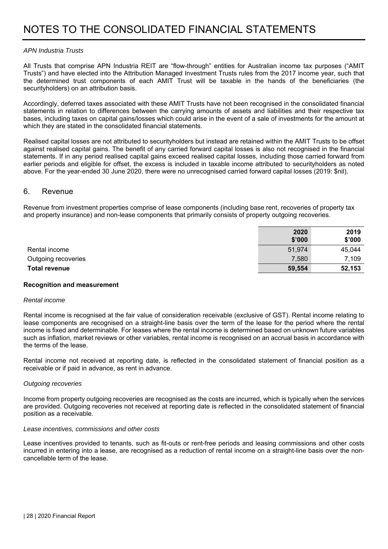#### *APN Industria Trusts*

All Trusts that comprise APN Industria REIT are "flow-through" entities for Australian income tax purposes ("AMIT Trusts") and have elected into the Attribution Managed Investment Trusts rules from the 2017 income year, such that the determined trust components of each AMIT Trust will be taxable in the hands of the beneficiaries (the securityholders) on an attribution basis.

Accordingly, deferred taxes associated with these AMIT Trusts have not been recognised in the consolidated financial statements in relation to differences between the carrying amounts of assets and liabilities and their respective tax bases, including taxes on capital gains/losses which could arise in the event of a sale of investments for the amount at which they are stated in the consolidated financial statements.

Realised capital losses are not attributed to securityholders but instead are retained within the AMIT Trusts to be offset against realised capital gains. The benefit of any carried forward capital losses is also not recognised in the financial statements. If in any period realised capital gains exceed realised capital losses, including those carried forward from earlier periods and eligible for offset, the excess is included in taxable income attributed to securityholders as noted above. For the year-ended 30 June 2020, there were no unrecognised carried forward capital losses (2019: \$nil).

#### 6. Revenue

Revenue from investment properties comprise of lease components (including base rent, recoveries of property tax and property insurance) and non-lease components that primarily consists of property outgoing recoveries.

|                      | 2020<br>\$'000 | 2019<br>\$'000 |
|----------------------|----------------|----------------|
| Rental income        | 51,974         | 45,044         |
| Outgoing recoveries  | 7,580          | 7,109          |
| <b>Total revenue</b> | 59,554         | 52,153         |

#### **Recognition and measurement**

#### *Rental income*

Rental income is recognised at the fair value of consideration receivable (exclusive of GST). Rental income relating to lease components are recognised on a straight-line basis over the term of the lease for the period where the rental income is fixed and determinable. For leases where the rental income is determined based on unknown future variables such as inflation, market reviews or other variables, rental income is recognised on an accrual basis in accordance with the terms of the lease.

Rental income not received at reporting date, is reflected in the consolidated statement of financial position as a receivable or if paid in advance, as rent in advance.

#### *Outgoing recoveries*

Income from property outgoing recoveries are recognised as the costs are incurred, which is typically when the services are provided. Outgoing recoveries not received at reporting date is reflected in the consolidated statement of financial position as a receivable.

#### *Lease incentives, commissions and other costs*

Lease incentives provided to tenants, such as fit-outs or rent-free periods and leasing commissions and other costs incurred in entering into a lease, are recognised as a reduction of rental income on a straight-line basis over the noncancellable term of the lease.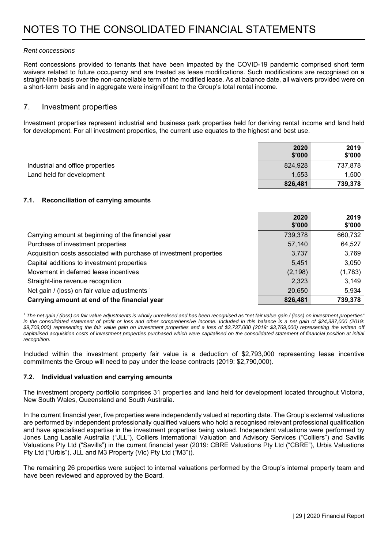#### *Rent concessions*

Rent concessions provided to tenants that have been impacted by the COVID-19 pandemic comprised short term waivers related to future occupancy and are treated as lease modifications. Such modifications are recognised on a straight-line basis over the non-cancellable term of the modified lease. As at balance date, all waivers provided were on a short-term basis and in aggregate were insignificant to the Group's total rental income.

#### 7. Investment properties

Investment properties represent industrial and business park properties held for deriving rental income and land held for development. For all investment properties, the current use equates to the highest and best use.

|                                  | 2020<br>\$'000 | 2019<br>\$'000 |
|----------------------------------|----------------|----------------|
| Industrial and office properties | 824,928        | 737,878        |
| Land held for development        | 1.553          | 1,500          |
|                                  | 826,481        | 739,378        |

#### **7.1. Reconciliation of carrying amounts**

|                                                                     | 2020<br>\$'000 | 2019<br>\$'000 |
|---------------------------------------------------------------------|----------------|----------------|
| Carrying amount at beginning of the financial year                  | 739,378        | 660,732        |
| Purchase of investment properties                                   | 57,140         | 64,527         |
| Acquisition costs associated with purchase of investment properties | 3,737          | 3,769          |
| Capital additions to investment properties                          | 5,451          | 3,050          |
| Movement in deferred lease incentives                               | (2, 198)       | (1,783)        |
| Straight-line revenue recognition                                   | 2,323          | 3,149          |
| Net gain / (loss) on fair value adjustments 1                       | 20,650         | 5,934          |
| Carrying amount at end of the financial year                        | 826,481        | 739,378        |

*1 The net gain / (loss) on fair value adjustments is wholly unrealised and has been recognised as "net fair value gain / (loss) on investment properties" in the consolidated statement of profit or loss and other comprehensive income. Included in this balance is a net gain of \$24,387,000 (2019: \$9,703,000) representing the fair value gain on investment properties and a loss of \$3,737,000 (2019: \$3,769,000) representing the written off capitalised acquisition costs of investment properties purchased which were capitalised on the consolidated statement of financial position at initial recognition.* 

Included within the investment property fair value is a deduction of \$2,793,000 representing lease incentive commitments the Group will need to pay under the lease contracts (2019: \$2,790,000).

#### **7.2. Individual valuation and carrying amounts**

The investment property portfolio comprises 31 properties and land held for development located throughout Victoria, New South Wales, Queensland and South Australia.

In the current financial year, five properties were independently valued at reporting date. The Group's external valuations are performed by independent professionally qualified valuers who hold a recognised relevant professional qualification and have specialised expertise in the investment properties being valued. Independent valuations were performed by Jones Lang Lasalle Australia ("JLL"), Colliers International Valuation and Advisory Services ("Colliers") and Savills Valuations Pty Ltd ("Savills") in the current financial year (2019: CBRE Valuations Pty Ltd ("CBRE"), Urbis Valuations Pty Ltd ("Urbis"), JLL and M3 Property (Vic) Pty Ltd ("M3")).

The remaining 26 properties were subject to internal valuations performed by the Group's internal property team and have been reviewed and approved by the Board.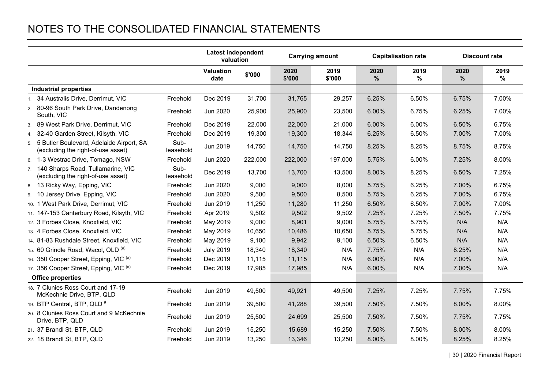|                                                                                   |                   | <b>Latest independent</b><br>valuation |         |                | <b>Carrying amount</b> |           | <b>Capitalisation rate</b> |           | <b>Discount rate</b> |  |
|-----------------------------------------------------------------------------------|-------------------|----------------------------------------|---------|----------------|------------------------|-----------|----------------------------|-----------|----------------------|--|
|                                                                                   |                   | Valuation<br>date                      | \$'000  | 2020<br>\$'000 | 2019<br>\$'000         | 2020<br>% | 2019<br>$\%$               | 2020<br>% | 2019<br>$\%$         |  |
| <b>Industrial properties</b>                                                      |                   |                                        |         |                |                        |           |                            |           |                      |  |
| 1. 34 Australis Drive, Derrimut, VIC                                              | Freehold          | Dec 2019                               | 31,700  | 31,765         | 29,257                 | 6.25%     | 6.50%                      | 6.75%     | 7.00%                |  |
| 2. 80-96 South Park Drive, Dandenong<br>South, VIC                                | Freehold          | Jun 2020                               | 25,900  | 25,900         | 23,500                 | 6.00%     | 6.75%                      | 6.25%     | 7.00%                |  |
| 3. 89 West Park Drive, Derrimut, VIC                                              | Freehold          | Dec 2019                               | 22,000  | 22,000         | 21,000                 | 6.00%     | 6.00%                      | 6.50%     | 6.75%                |  |
| 4. 32-40 Garden Street, Kilsyth, VIC                                              | Freehold          | Dec 2019                               | 19,300  | 19,300         | 18,344                 | 6.25%     | 6.50%                      | 7.00%     | 7.00%                |  |
| 5. 5 Butler Boulevard, Adelaide Airport, SA<br>(excluding the right-of-use asset) | Sub-<br>leasehold | Jun 2019                               | 14,750  | 14,750         | 14,750                 | 8.25%     | 8.25%                      | 8.75%     | 8.75%                |  |
| 6. 1-3 Westrac Drive, Tomago, NSW                                                 | Freehold          | Jun 2020                               | 222,000 | 222,000        | 197,000                | 5.75%     | 6.00%                      | 7.25%     | 8.00%                |  |
| 7. 140 Sharps Road, Tullamarine, VIC<br>(excluding the right-of-use asset)        | Sub-<br>leasehold | Dec 2019                               | 13,700  | 13,700         | 13,500                 | 8.00%     | 8.25%                      | 6.50%     | 7.25%                |  |
| 8. 13 Ricky Way, Epping, VIC                                                      | Freehold          | Jun 2020                               | 9,000   | 9,000          | 8,000                  | 5.75%     | 6.25%                      | 7.00%     | 6.75%                |  |
| 9. 10 Jersey Drive, Epping, VIC                                                   | Freehold          | Jun 2020                               | 9,500   | 9,500          | 8,500                  | 5.75%     | 6.25%                      | 7.00%     | 6.75%                |  |
| 10. 1 West Park Drive, Derrimut, VIC                                              | Freehold          | Jun 2019                               | 11,250  | 11,280         | 11,250                 | 6.50%     | 6.50%                      | 7.00%     | 7.00%                |  |
| 11. 147-153 Canterbury Road, Kilsyth, VIC                                         | Freehold          | Apr 2019                               | 9,502   | 9,502          | 9,502                  | 7.25%     | 7.25%                      | 7.50%     | 7.75%                |  |
| 12. 3 Forbes Close, Knoxfield, VIC                                                | Freehold          | May 2019                               | 9,000   | 8,901          | 9,000                  | 5.75%     | 5.75%                      | N/A       | N/A                  |  |
| 13. 4 Forbes Close, Knoxfield, VIC                                                | Freehold          | May 2019                               | 10,650  | 10,486         | 10,650                 | 5.75%     | 5.75%                      | N/A       | N/A                  |  |
| 14. 81-83 Rushdale Street, Knoxfield, VIC                                         | Freehold          | May 2019                               | 9,100   | 9,942          | 9,100                  | 6.50%     | 6.50%                      | N/A       | N/A                  |  |
| 15. 60 Grindle Road, Wacol, QLD (a)                                               | Freehold          | <b>July 2019</b>                       | 18,340  | 18,340         | N/A                    | 7.75%     | N/A                        | 8.25%     | N/A                  |  |
| 16. 350 Cooper Street, Epping, VIC (a)                                            | Freehold          | Dec 2019                               | 11,115  | 11,115         | N/A                    | 6.00%     | N/A                        | 7.00%     | N/A                  |  |
| 17. 356 Cooper Street, Epping, VIC (a)                                            | Freehold          | Dec 2019                               | 17,985  | 17,985         | N/A                    | 6.00%     | N/A                        | 7.00%     | N/A                  |  |
| <b>Office properties</b>                                                          |                   |                                        |         |                |                        |           |                            |           |                      |  |
| 18. 7 Clunies Ross Court and 17-19<br>McKechnie Drive, BTP, QLD                   | Freehold          | Jun 2019                               | 49,500  | 49,921         | 49,500                 | 7.25%     | 7.25%                      | 7.75%     | 7.75%                |  |
| 19. BTP Central, BTP, QLD <sup>#</sup>                                            | Freehold          | Jun 2019                               | 39,500  | 41,288         | 39,500                 | 7.50%     | 7.50%                      | 8.00%     | 8.00%                |  |
| 20. 8 Clunies Ross Court and 9 McKechnie<br>Drive, BTP, QLD                       | Freehold          | Jun 2019                               | 25,500  | 24,699         | 25,500                 | 7.50%     | 7.50%                      | 7.75%     | 7.75%                |  |
| 21. 37 Brandl St, BTP, QLD                                                        | Freehold          | Jun 2019                               | 15,250  | 15,689         | 15,250                 | 7.50%     | 7.50%                      | 8.00%     | 8.00%                |  |
| 22. 18 Brandl St, BTP, QLD                                                        | Freehold          | Jun 2019                               | 13,250  | 13,346         | 13,250                 | 8.00%     | 8.00%                      | 8.25%     | 8.25%                |  |

| 30 | 2020 Financial Report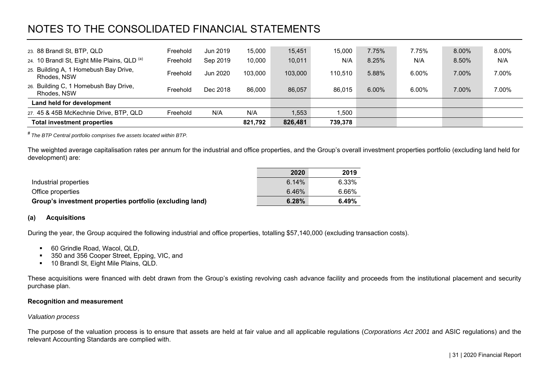| 23. 88 Brandl St, BTP, QLD                           | Freehold | Jun 2019 | 15,000  | 15,451  | 15.000  | 7.75% | 7.75%    | 8.00% | 8.00% |
|------------------------------------------------------|----------|----------|---------|---------|---------|-------|----------|-------|-------|
| 24. 10 Brandl St, Eight Mile Plains, QLD (a)         | Freehold | Sep 2019 | 10,000  | 10,011  | N/A     | 8.25% | N/A      | 8.50% | N/A   |
| 25. Building A, 1 Homebush Bay Drive,<br>Rhodes, NSW | Freehold | Jun 2020 | 103.000 | 103,000 | 110.510 | 5.88% | 6.00%    | 7.00% | 7.00% |
| 26. Building C, 1 Homebush Bay Drive,<br>Rhodes, NSW | Freehold | Dec 2018 | 86.000  | 86.057  | 86.015  | 6.00% | $6.00\%$ | 7.00% | 7.00% |
| Land held for development                            |          |          |         |         |         |       |          |       |       |
| 27. 45 & 45B McKechnie Drive, BTP, QLD               | Freehold | N/A      | N/A     | ,553    | .500    |       |          |       |       |
| <b>Total investment properties</b>                   |          |          | 821,792 | 826,481 | 739,378 |       |          |       |       |

# *The BTP Central portfolio comprises five assets located within BTP.* 

The weighted average capitalisation rates per annum for the industrial and office properties, and the Group's overall investment properties portfolio (excluding land held for development) are:

|                                                          | 2020  | 2019  |
|----------------------------------------------------------|-------|-------|
| Industrial properties                                    | 6.14% | 6.33% |
| Office properties                                        | 6.46% | 6.66% |
| Group's investment properties portfolio (excluding land) | 6.28% | 6.49% |

#### **(a) Acquisitions**

During the year, the Group acquired the following industrial and office properties, totalling \$57,140,000 (excluding transaction costs).

- 60 Grindle Road, Wacol, QLD,
- 350 and 356 Cooper Street, Epping, VIC, and
- 10 Brandl St, Eight Mile Plains, QLD.

These acquisitions were financed with debt drawn from the Group's existing revolving cash advance facility and proceeds from the institutional placement and security purchase plan.

#### **Recognition and measurement**

#### *Valuation process*

The purpose of the valuation process is to ensure that assets are held at fair value and all applicable regulations (*Corporations Act 2001* and ASIC regulations) and the relevant Accounting Standards are complied with.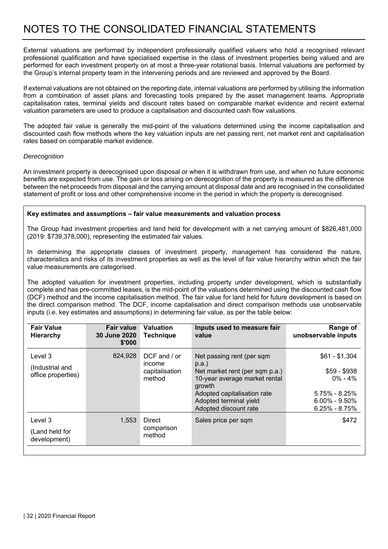External valuations are performed by independent professionally qualified valuers who hold a recognised relevant professional qualification and have specialised expertise in the class of investment properties being valued and are performed for each investment property on at most a three-year rotational basis. Internal valuations are performed by the Group's internal property team in the intervening periods and are reviewed and approved by the Board.

If external valuations are not obtained on the reporting date, internal valuations are performed by utilising the information from a combination of asset plans and forecasting tools prepared by the asset management teams. Appropriate capitalisation rates, terminal yields and discount rates based on comparable market evidence and recent external valuation parameters are used to produce a capitalisation and discounted cash flow valuations.

The adopted fair value is generally the mid-point of the valuations determined using the income capitalisation and discounted cash flow methods where the key valuation inputs are net passing rent, net market rent and capitalisation rates based on comparable market evidence.

#### *Derecognition*

An investment property is derecognised upon disposal or when it is withdrawn from use, and when no future economic benefits are expected from use. The gain or loss arising on derecognition of the property is measured as the difference between the net proceeds from disposal and the carrying amount at disposal date and are recognised in the consolidated statement of profit or loss and other comprehensive income in the period in which the property is derecognised.

#### **Key estimates and assumptions – fair value measurements and valuation process**

The Group had investment properties and land held for development with a net carrying amount of \$826,481,000 (2019: \$739,378,000), representing the estimated fair values.

In determining the appropriate classes of investment property, management has considered the nature, characteristics and risks of its investment properties as well as the level of fair value hierarchy within which the fair value measurements are categorised.

The adopted valuation for investment properties, including property under development, which is substantially complete and has pre-committed leases, is the mid-point of the valuations determined using the discounted cash flow (DCF) method and the income capitalisation method. The fair value for land held for future development is based on the direct comparison method. The DCF, income capitalisation and direct comparison methods use unobservable inputs (i.e. key estimates and assumptions) in determining fair value, as per the table below:

| <b>Fair value</b><br>30 June 2020<br>\$'000 | <b>Valuation</b><br><b>Technique</b> | Inputs used to measure fair<br>value                                           | Range of<br>unobservable inputs                             |
|---------------------------------------------|--------------------------------------|--------------------------------------------------------------------------------|-------------------------------------------------------------|
| 824,928                                     | DCF and / or<br>income               | Net passing rent (per sqm<br>p.a.                                              | $$61 - $1,304$                                              |
|                                             | method                               | 10-year average market rental<br>growth                                        | $$59 - $938$<br>$0\% - 4\%$                                 |
|                                             |                                      | Adopted capitalisation rate<br>Adopted terminal yield<br>Adopted discount rate | $5.75\% - 8.25\%$<br>$6.00\% - 9.50\%$<br>$6.25\% - 8.75\%$ |
| 1,553                                       | <b>Direct</b>                        | Sales price per sqm                                                            | \$472                                                       |
|                                             | method                               |                                                                                |                                                             |
|                                             |                                      | capitalisation<br>comparison                                                   | Net market rent (per sqm p.a.)                              |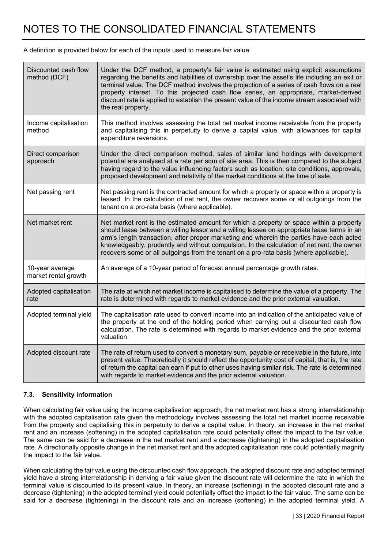A definition is provided below for each of the inputs used to measure fair value:

| Discounted cash flow<br>method (DCF)    | Under the DCF method, a property's fair value is estimated using explicit assumptions<br>regarding the benefits and liabilities of ownership over the asset's life including an exit or<br>terminal value. The DCF method involves the projection of a series of cash flows on a real<br>property interest. To this projected cash flow series, an appropriate, market-derived<br>discount rate is applied to establish the present value of the income stream associated with<br>the real property. |
|-----------------------------------------|------------------------------------------------------------------------------------------------------------------------------------------------------------------------------------------------------------------------------------------------------------------------------------------------------------------------------------------------------------------------------------------------------------------------------------------------------------------------------------------------------|
| Income capitalisation<br>method         | This method involves assessing the total net market income receivable from the property<br>and capitalising this in perpetuity to derive a capital value, with allowances for capital<br>expenditure reversions.                                                                                                                                                                                                                                                                                     |
| Direct comparison<br>approach           | Under the direct comparison method, sales of similar land holdings with development<br>potential are analysed at a rate per sqm of site area. This is then compared to the subject<br>having regard to the value influencing factors such as location, site conditions, approvals,<br>proposed development and relativity of the market conditions at the time of sale.                                                                                                                              |
| Net passing rent                        | Net passing rent is the contracted amount for which a property or space within a property is<br>leased. In the calculation of net rent, the owner recovers some or all outgoings from the<br>tenant on a pro-rata basis (where applicable).                                                                                                                                                                                                                                                          |
| Net market rent                         | Net market rent is the estimated amount for which a property or space within a property<br>should lease between a willing lessor and a willing lessee on appropriate lease terms in an<br>arm's length transaction, after proper marketing and wherein the parties have each acted<br>knowledgeably, prudently and without compulsion. In the calculation of net rent, the owner<br>recovers some or all outgoings from the tenant on a pro-rata basis (where applicable).                           |
| 10-year average<br>market rental growth | An average of a 10-year period of forecast annual percentage growth rates.                                                                                                                                                                                                                                                                                                                                                                                                                           |
| Adopted capitalisation<br>rate          | The rate at which net market income is capitalised to determine the value of a property. The<br>rate is determined with regards to market evidence and the prior external valuation.                                                                                                                                                                                                                                                                                                                 |
| Adopted terminal yield                  | The capitalisation rate used to convert income into an indication of the anticipated value of<br>the property at the end of the holding period when carrying out a discounted cash flow<br>calculation. The rate is determined with regards to market evidence and the prior external<br>valuation.                                                                                                                                                                                                  |
| Adopted discount rate                   | The rate of return used to convert a monetary sum, payable or receivable in the future, into<br>present value. Theoretically it should reflect the opportunity cost of capital, that is, the rate<br>of return the capital can earn if put to other uses having similar risk. The rate is determined<br>with regards to market evidence and the prior external valuation.                                                                                                                            |

#### **7.3. Sensitivity information**

When calculating fair value using the income capitalisation approach, the net market rent has a strong interrelationship with the adopted capitalisation rate given the methodology involves assessing the total net market income receivable from the property and capitalising this in perpetuity to derive a capital value. In theory, an increase in the net market rent and an increase (softening) in the adopted capitalisation rate could potentially offset the impact to the fair value. The same can be said for a decrease in the net market rent and a decrease (tightening) in the adopted capitalisation rate. A directionally opposite change in the net market rent and the adopted capitalisation rate could potentially magnify the impact to the fair value.

When calculating the fair value using the discounted cash flow approach, the adopted discount rate and adopted terminal yield have a strong interrelationship in deriving a fair value given the discount rate will determine the rate in which the terminal value is discounted to its present value. In theory, an increase (softening) in the adopted discount rate and a decrease (tightening) in the adopted terminal yield could potentially offset the impact to the fair value. The same can be said for a decrease (tightening) in the discount rate and an increase (softening) in the adopted terminal yield. A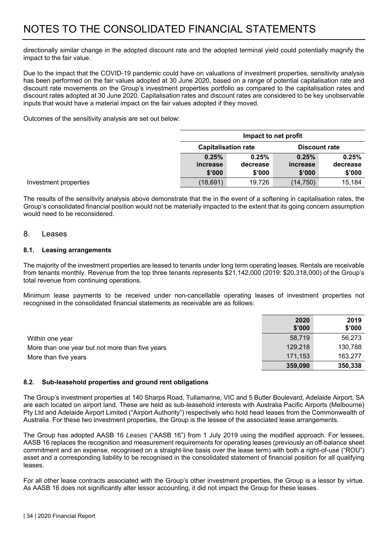directionally similar change in the adopted discount rate and the adopted terminal yield could potentially magnify the impact to the fair value.

Due to the impact that the COVID-19 pandemic could have on valuations of investment properties, sensitivity analysis has been performed on the fair values adopted at 30 June 2020, based on a range of potential capitalisation rate and discount rate movements on the Group's investment properties portfolio as compared to the capitalisation rates and discount rates adopted at 30 June 2020. Capitalisation rates and discount rates are considered to be key unobservable inputs that would have a material impact on the fair values adopted if they moved.

Outcomes of the sensitivity analysis are set out below:

|          | Impact to net profit                               |          |          |  |  |  |  |
|----------|----------------------------------------------------|----------|----------|--|--|--|--|
|          | <b>Capitalisation rate</b><br><b>Discount rate</b> |          |          |  |  |  |  |
| 0.25%    | 0.25%                                              | 0.25%    | 0.25%    |  |  |  |  |
| increase | decrease                                           | increase | decrease |  |  |  |  |
| \$'000   | \$'000                                             | \$'000   | \$'000   |  |  |  |  |
| (18,691) | 19,726                                             | (14,750) | 15,184   |  |  |  |  |

The results of the sensitivity analysis above demonstrate that the in the event of a softening in capitalisation rates, the Group's consolidated financial position would not be materially impacted to the extent that its going concern assumption would need to be reconsidered.

#### 8 Leases

Investment properties

#### **8.1. Leasing arrangements**

The majority of the investment properties are leased to tenants under long term operating leases. Rentals are receivable from tenants monthly. Revenue from the top three tenants represents \$21,142,000 (2019: \$20,318,000) of the Group's total revenue from continuing operations.

Minimum lease payments to be received under non-cancellable operating leases of investment properties not recognised in the consolidated financial statements as receivable are as follows:

|                                                 | 2020<br>\$'000 | 2019<br>\$'000 |
|-------------------------------------------------|----------------|----------------|
| Within one year                                 | 58.719         | 56,273         |
| More than one year but not more than five years | 129,218        | 130,788        |
| More than five years                            | 171,153        | 163.277        |
|                                                 | 359,090        | 350,338        |

#### **8.2. Sub-leasehold properties and ground rent obligations**

The Group's investment properties at 140 Sharps Road, Tullamarine, VIC and 5 Butler Boulevard, Adelaide Airport, SA are each located on airport land. These are held as sub-leasehold interests with Australia Pacific Airports (Melbourne) Pty Ltd and Adelaide Airport Limited ("Airport Authority") respectively who hold head leases from the Commonwealth of Australia. For these two investment properties, the Group is the lessee of the associated lease arrangements.

The Group has adopted AASB 16 *Leases* ("AASB 16") from 1 July 2019 using the modified approach. For lessees, AASB 16 replaces the recognition and measurement requirements for operating leases (previously an off-balance sheet commitment and an expense, recognised on a straight-line basis over the lease term) with both a right-of-use ("ROU") asset and a corresponding liability to be recognised in the consolidated statement of financial position for all qualifying leases.

For all other lease contracts associated with the Group's other investment properties, the Group is a lessor by virtue. As AASB 16 does not significantly alter lessor accounting, it did not impact the Group for these leases.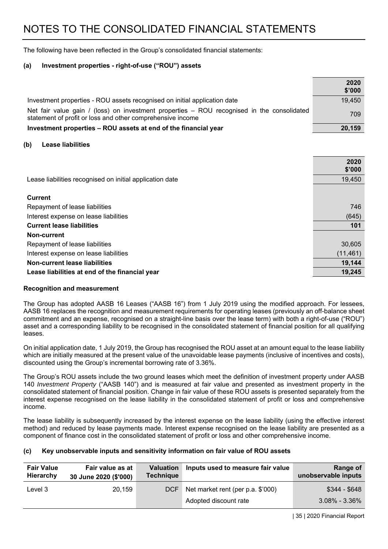The following have been reflected in the Group's consolidated financial statements:

#### **(a) Investment properties - right-of-use ("ROU") assets**

|                                                                                                                                                          | 2020<br>\$'000 |
|----------------------------------------------------------------------------------------------------------------------------------------------------------|----------------|
| Investment properties - ROU assets recognised on initial application date                                                                                | 19,450         |
| Net fair value gain / (loss) on investment properties - ROU recognised in the consolidated<br>statement of profit or loss and other comprehensive income | 709            |
| Investment properties - ROU assets at end of the financial year                                                                                          | 20,159         |

#### **(b) Lease liabilities**

|                                                          | 2020<br>\$'000 |
|----------------------------------------------------------|----------------|
| Lease liabilities recognised on initial application date | 19,450         |
| <b>Current</b>                                           |                |
| Repayment of lease liabilities                           | 746            |
| Interest expense on lease liabilities                    | (645)          |
| <b>Current lease liabilities</b>                         | 101            |
| Non-current                                              |                |
| Repayment of lease liabilities                           | 30,605         |
| Interest expense on lease liabilities                    | (11, 461)      |
| Non-current lease liabilities                            | 19,144         |
| Lease liabilities at end of the financial year           | 19,245         |

#### **Recognition and measurement**

The Group has adopted AASB 16 Leases ("AASB 16") from 1 July 2019 using the modified approach. For lessees, AASB 16 replaces the recognition and measurement requirements for operating leases (previously an off-balance sheet commitment and an expense, recognised on a straight-line basis over the lease term) with both a right-of-use ("ROU") asset and a corresponding liability to be recognised in the consolidated statement of financial position for all qualifying leases.

On initial application date, 1 July 2019, the Group has recognised the ROU asset at an amount equal to the lease liability which are initially measured at the present value of the unavoidable lease payments (inclusive of incentives and costs). discounted using the Group's incremental borrowing rate of 3.36%.

The Group's ROU assets include the two ground leases which meet the definition of investment property under AASB 140 *Investment Property* ("AASB 140") and is measured at fair value and presented as investment property in the consolidated statement of financial position. Change in fair value of these ROU assets is presented separately from the interest expense recognised on the lease liability in the consolidated statement of profit or loss and comprehensive income.

The lease liability is subsequently increased by the interest expense on the lease liability (using the effective interest method) and reduced by lease payments made. Interest expense recognised on the lease liability are presented as a component of finance cost in the consolidated statement of profit or loss and other comprehensive income.

#### **(c) Key unobservable inputs and sensitivity information on fair value of ROU assets**

| <b>Fair Value</b><br>Hierarchy | Fair value as at<br>30 June 2020 (\$'000) | <b>Valuation</b><br><b>Technique</b> | Inputs used to measure fair value | Range of<br>unobservable inputs |
|--------------------------------|-------------------------------------------|--------------------------------------|-----------------------------------|---------------------------------|
| Level 3                        | 20,159                                    | <b>DCF</b>                           | Net market rent (per p.a. \$'000) | $$344 - $648$                   |
|                                |                                           |                                      | Adopted discount rate             | $3.08\% - 3.36\%$               |

| 35 | 2020 Financial Report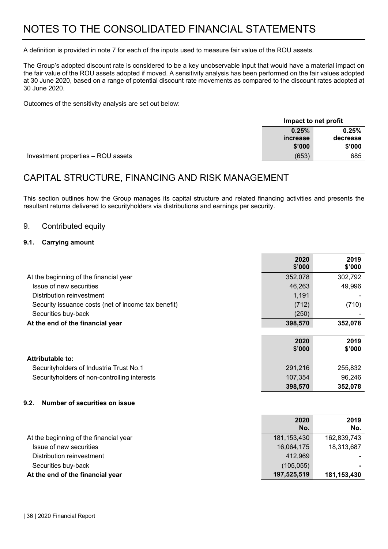A definition is provided in note 7 for each of the inputs used to measure fair value of the ROU assets.

The Group's adopted discount rate is considered to be a key unobservable input that would have a material impact on the fair value of the ROU assets adopted if moved. A sensitivity analysis has been performed on the fair values adopted at 30 June 2020, based on a range of potential discount rate movements as compared to the discount rates adopted at 30 June 2020.

Outcomes of the sensitivity analysis are set out below:

|                                    |          | Impact to net profit |
|------------------------------------|----------|----------------------|
|                                    | 0.25%    | 0.25%                |
|                                    | increase | decrease             |
|                                    | \$'000   | \$'000               |
| Investment properties - ROU assets | (653)    | 685                  |

### CAPITAL STRUCTURE, FINANCING AND RISK MANAGEMENT

This section outlines how the Group manages its capital structure and related financing activities and presents the resultant returns delivered to securityholders via distributions and earnings per security.

#### 9. Contributed equity

#### **9.1. Carrying amount**

|                                                     | 2020<br>\$'000 | 2019<br>\$'000 |
|-----------------------------------------------------|----------------|----------------|
| At the beginning of the financial year              | 352,078        | 302,792        |
| Issue of new securities                             | 46,263         | 49,996         |
| Distribution reinvestment                           | 1,191          |                |
| Security issuance costs (net of income tax benefit) | (712)          | (710)          |
| Securities buy-back                                 | (250)          |                |
| At the end of the financial year                    | 398,570        | 352,078        |
|                                                     |                |                |
|                                                     | 2020<br>\$'000 | 2019<br>\$'000 |
| Attributable to:                                    |                |                |
| Securityholders of Industria Trust No.1             | 291,216        | 255,832        |
| Securityholders of non-controlling interests        | 107,354        | 96,246         |
|                                                     | 398,570        | 352,078        |
| 9.2.<br><b>Number of securities on issue</b>        |                |                |
|                                                     | 2020<br>No.    | 2019<br>No.    |
| At the beginning of the financial year              | 181, 153, 430  | 162,839,743    |
|                                                     |                |                |

Issue of new securities 16,064,175 18,313,687

Distribution reinvestment 412,969

Securities buy-back **and the securities of the securities** (105,055)

#### At the end of the financial year 197,525,519 181,153,430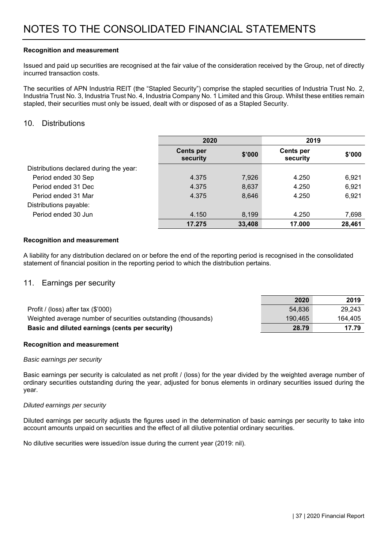#### **Recognition and measurement**

Issued and paid up securities are recognised at the fair value of the consideration received by the Group, net of directly incurred transaction costs.

The securities of APN Industria REIT (the "Stapled Security") comprise the stapled securities of Industria Trust No. 2, Industria Trust No. 3, Industria Trust No. 4, Industria Company No. 1 Limited and this Group. Whilst these entities remain stapled, their securities must only be issued, dealt with or disposed of as a Stapled Security.

#### 10. Distributions

|                                         | 2020                         |        | 2019                         |        |
|-----------------------------------------|------------------------------|--------|------------------------------|--------|
|                                         | <b>Cents per</b><br>security | \$'000 | <b>Cents per</b><br>security | \$'000 |
| Distributions declared during the year: |                              |        |                              |        |
| Period ended 30 Sep                     | 4.375                        | 7,926  | 4.250                        | 6,921  |
| Period ended 31 Dec                     | 4.375                        | 8,637  | 4.250                        | 6,921  |
| Period ended 31 Mar                     | 4.375                        | 8,646  | 4.250                        | 6,921  |
| Distributions payable:                  |                              |        |                              |        |
| Period ended 30 Jun                     | 4.150                        | 8,199  | 4.250                        | 7,698  |
|                                         | 17.275                       | 33,408 | 17.000                       | 28,461 |

#### **Recognition and measurement**

A liability for any distribution declared on or before the end of the reporting period is recognised in the consolidated statement of financial position in the reporting period to which the distribution pertains.

#### 11. Earnings per security

|                                                               | 2020    | 2019    |
|---------------------------------------------------------------|---------|---------|
| Profit / (loss) after tax $(\$'000)$                          | 54.836  | 29.243  |
| Weighted average number of securities outstanding (thousands) | 190.465 | 164,405 |
| Basic and diluted earnings (cents per security)               | 28.79   | 17.79   |

#### **Recognition and measurement**

#### *Basic earnings per security*

Basic earnings per security is calculated as net profit / (loss) for the year divided by the weighted average number of ordinary securities outstanding during the year, adjusted for bonus elements in ordinary securities issued during the year.

#### *Diluted earnings per security*

Diluted earnings per security adjusts the figures used in the determination of basic earnings per security to take into account amounts unpaid on securities and the effect of all dilutive potential ordinary securities.

No dilutive securities were issued/on issue during the current year (2019: nil).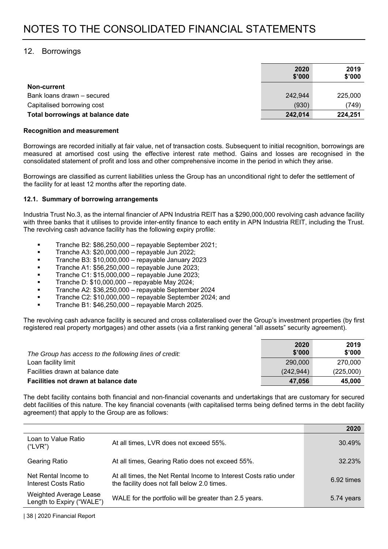#### 12. Borrowings

|                                  | 2020<br>\$'000 | 2019<br>\$'000 |
|----------------------------------|----------------|----------------|
| Non-current                      |                |                |
| Bank loans drawn - secured       | 242,944        | 225,000        |
| Capitalised borrowing cost       | (930)          | (749)          |
| Total borrowings at balance date | 242,014        | 224,251        |

#### **Recognition and measurement**

Borrowings are recorded initially at fair value, net of transaction costs. Subsequent to initial recognition, borrowings are measured at amortised cost using the effective interest rate method. Gains and losses are recognised in the consolidated statement of profit and loss and other comprehensive income in the period in which they arise.

Borrowings are classified as current liabilities unless the Group has an unconditional right to defer the settlement of the facility for at least 12 months after the reporting date.

#### **12.1. Summary of borrowing arrangements**

Industria Trust No.3, as the internal financier of APN Industria REIT has a \$290,000,000 revolving cash advance facility with three banks that it utilises to provide inter-entity finance to each entity in APN Industria REIT, including the Trust. The revolving cash advance facility has the following expiry profile:

- Tranche B2: \$86,250,000 repayable September 2021;
- **Tranche A3:**  $$20,000,000$  **repayable Jun 2022;**
- Tranche B3: \$10,000,000 repayable January 2023
- Tranche A1: \$56,250,000 repayable June 2023;
- Tranche C1: \$15,000,000 repayable June 2023;
- Tranche D: \$10,000,000 repayable May 2024;
- Tranche A2: \$36,250,000 repayable September 2024
- Tranche C2: \$10,000,000 repayable September 2024; and
- Tranche B1: \$46,250,000 repayable March 2025.

The revolving cash advance facility is secured and cross collateralised over the Group's investment properties (by first registered real property mortgages) and other assets (via a first ranking general "all assets" security agreement).

| The Group has access to the following lines of credit: | 2020<br>\$'000 | 2019<br>\$'000 |
|--------------------------------------------------------|----------------|----------------|
| Loan facility limit                                    | 290,000        | 270,000        |
| Facilities drawn at balance date                       | (242.944)      | (225,000)      |
| Facilities not drawn at balance date                   | 47.056         | 45,000         |

The debt facility contains both financial and non-financial covenants and undertakings that are customary for secured debt facilities of this nature. The key financial covenants (with capitalised terms being defined terms in the debt facility agreement) that apply to the Group are as follows:

|                                                     |                                                                                                                  | 2020          |
|-----------------------------------------------------|------------------------------------------------------------------------------------------------------------------|---------------|
| Loan to Value Ratio<br>("LVR")                      | At all times, LVR does not exceed 55%.                                                                           | 30.49%        |
| <b>Gearing Ratio</b>                                | At all times, Gearing Ratio does not exceed 55%.                                                                 | 32.23%        |
| Net Rental Income to<br>Interest Costs Ratio        | At all times, the Net Rental Income to Interest Costs ratio under<br>the facility does not fall below 2.0 times. | $6.92 \times$ |
| Weighted Average Lease<br>Length to Expiry ("WALE") | WALE for the portfolio will be greater than 2.5 years.                                                           | 5.74 years    |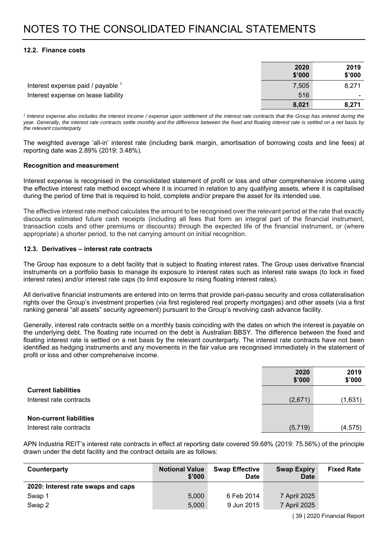#### **12.2. Finance costs**

|                                     | 2020<br>\$'000 | 2019<br>\$'000 |
|-------------------------------------|----------------|----------------|
| Interest expense paid / payable 1   | 7,505          | 8,271          |
| Interest expense on lease liability | 516            |                |
|                                     | 8,021          | 8,271          |

<sup>1</sup> Interest expense also includes the interest income / expense upon settlement of the interest rate contracts that the Group has entered during the *year. Generally, the interest rate contracts settle monthly and the difference between the fixed and floating interest rate is settled on a net basis by the relevant counterparty* 

The weighted average 'all-in' interest rate (including bank margin, amortisation of borrowing costs and line fees) at reporting date was 2.89% (2019: 3.48%).

#### **Recognition and measurement**

Interest expense is recognised in the consolidated statement of profit or loss and other comprehensive income using the effective interest rate method except where it is incurred in relation to any qualifying assets, where it is capitalised during the period of time that is required to hold, complete and/or prepare the asset for its intended use.

The effective interest rate method calculates the amount to be recognised over the relevant period at the rate that exactly discounts estimated future cash receipts (including all fees that form an integral part of the financial instrument, transaction costs and other premiums or discounts) through the expected life of the financial instrument, or (where appropriate) a shorter period, to the net carrying amount on initial recognition.

#### **12.3. Derivatives – interest rate contracts**

The Group has exposure to a debt facility that is subject to floating interest rates. The Group uses derivative financial instruments on a portfolio basis to manage its exposure to interest rates such as interest rate swaps (to lock in fixed interest rates) and/or interest rate caps (to limit exposure to rising floating interest rates).

All derivative financial instruments are entered into on terms that provide pari-passu security and cross collateralisation rights over the Group's investment properties (via first registered real property mortgages) and other assets (via a first ranking general "all assets" security agreement) pursuant to the Group's revolving cash advance facility.

Generally, interest rate contracts settle on a monthly basis coinciding with the dates on which the interest is payable on the underlying debt. The floating rate incurred on the debt is Australian BBSY. The difference between the fixed and floating interest rate is settled on a net basis by the relevant counterparty. The interest rate contracts have not been identified as hedging instruments and any movements in the fair value are recognised immediately in the statement of profit or loss and other comprehensive income.

|                                | 2020<br>\$'000 | 2019<br>\$'000 |
|--------------------------------|----------------|----------------|
| <b>Current liabilities</b>     |                |                |
| Interest rate contracts        | (2,671)        | (1,631)        |
|                                |                |                |
| <b>Non-current liabilities</b> |                |                |
| Interest rate contracts        | (5,719)        | (4, 575)       |

APN Industria REIT's interest rate contracts in effect at reporting date covered 59.68% (2019: 75.56%) of the principle drawn under the debt facility and the contract details are as follows:

| Counterparty                       | <b>Notional Value</b><br>\$'000 | <b>Swap Effective</b><br><b>Date</b> | <b>Swap Expiry</b><br>Date | <b>Fixed Rate</b> |
|------------------------------------|---------------------------------|--------------------------------------|----------------------------|-------------------|
| 2020: Interest rate swaps and caps |                                 |                                      |                            |                   |
| Swap 1                             | 5.000                           | 6 Feb 2014                           | 7 April 2025               |                   |
| Swap 2                             | 5,000                           | 9 Jun 2015                           | 7 April 2025               |                   |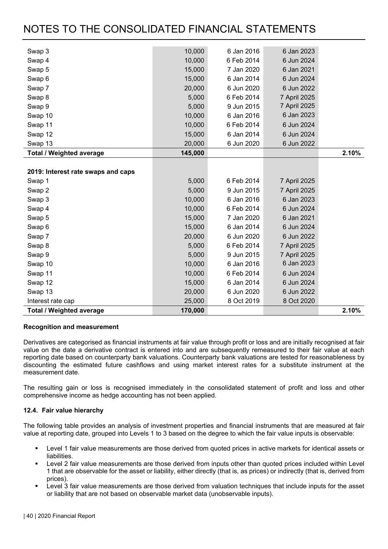| Swap 3                             | 10,000  | 6 Jan 2016 | 6 Jan 2023   |       |
|------------------------------------|---------|------------|--------------|-------|
|                                    | 10,000  | 6 Feb 2014 | 6 Jun 2024   |       |
| Swap 4                             |         |            |              |       |
| Swap 5                             | 15,000  | 7 Jan 2020 | 6 Jan 2021   |       |
| Swap <sub>6</sub>                  | 15,000  | 6 Jan 2014 | 6 Jun 2024   |       |
| Swap 7                             | 20,000  | 6 Jun 2020 | 6 Jun 2022   |       |
| Swap 8                             | 5,000   | 6 Feb 2014 | 7 April 2025 |       |
| Swap 9                             | 5,000   | 9 Jun 2015 | 7 April 2025 |       |
| Swap 10                            | 10,000  | 6 Jan 2016 | 6 Jan 2023   |       |
| Swap 11                            | 10,000  | 6 Feb 2014 | 6 Jun 2024   |       |
| Swap 12                            | 15,000  | 6 Jan 2014 | 6 Jun 2024   |       |
| Swap 13                            | 20,000  | 6 Jun 2020 | 6 Jun 2022   |       |
| <b>Total / Weighted average</b>    | 145,000 |            |              | 2.10% |
|                                    |         |            |              |       |
| 2019: Interest rate swaps and caps |         |            |              |       |
| Swap 1                             | 5,000   | 6 Feb 2014 | 7 April 2025 |       |
| Swap 2                             | 5,000   | 9 Jun 2015 | 7 April 2025 |       |
| Swap 3                             | 10,000  | 6 Jan 2016 | 6 Jan 2023   |       |
| Swap 4                             | 10,000  | 6 Feb 2014 | 6 Jun 2024   |       |
| Swap 5                             | 15,000  | 7 Jan 2020 | 6 Jan 2021   |       |
| Swap <sub>6</sub>                  | 15,000  | 6 Jan 2014 | 6 Jun 2024   |       |
| Swap 7                             | 20,000  | 6 Jun 2020 | 6 Jun 2022   |       |
| Swap 8                             | 5,000   | 6 Feb 2014 | 7 April 2025 |       |
| Swap 9                             | 5,000   | 9 Jun 2015 | 7 April 2025 |       |
| Swap 10                            | 10,000  | 6 Jan 2016 | 6 Jan 2023   |       |
| Swap 11                            | 10,000  | 6 Feb 2014 | 6 Jun 2024   |       |
| Swap 12                            | 15,000  | 6 Jan 2014 | 6 Jun 2024   |       |
| Swap 13                            | 20,000  | 6 Jun 2020 | 6 Jun 2022   |       |
| Interest rate cap                  | 25,000  | 8 Oct 2019 | 8 Oct 2020   |       |
| <b>Total / Weighted average</b>    | 170,000 |            |              | 2.10% |

#### **Recognition and measurement**

Derivatives are categorised as financial instruments at fair value through profit or loss and are initially recognised at fair value on the date a derivative contract is entered into and are subsequently remeasured to their fair value at each reporting date based on counterparty bank valuations. Counterparty bank valuations are tested for reasonableness by discounting the estimated future cashflows and using market interest rates for a substitute instrument at the measurement date.

The resulting gain or loss is recognised immediately in the consolidated statement of profit and loss and other comprehensive income as hedge accounting has not been applied.

#### **12.4. Fair value hierarchy**

The following table provides an analysis of investment properties and financial instruments that are measured at fair value at reporting date, grouped into Levels 1 to 3 based on the degree to which the fair value inputs is observable:

- Level 1 fair value measurements are those derived from quoted prices in active markets for identical assets or liabilities.
- Level 2 fair value measurements are those derived from inputs other than quoted prices included within Level 1 that are observable for the asset or liability, either directly (that is, as prices) or indirectly (that is, derived from prices).
- Level 3 fair value measurements are those derived from valuation techniques that include inputs for the asset or liability that are not based on observable market data (unobservable inputs).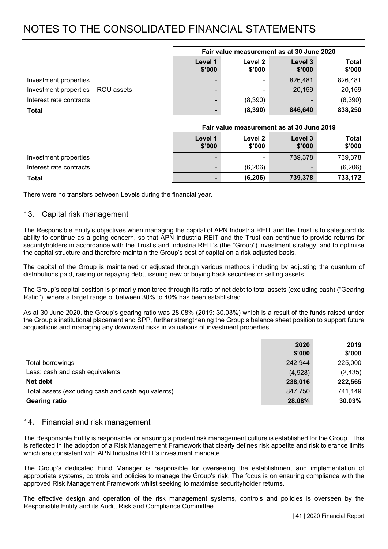|                                    | Fair value measurement as at 30 June 2020 |                   |                   |                        |
|------------------------------------|-------------------------------------------|-------------------|-------------------|------------------------|
|                                    | Level 1<br>\$'000                         | Level 2<br>\$'000 | Level 3<br>\$'000 | <b>Total</b><br>\$'000 |
| Investment properties              |                                           | $\blacksquare$    | 826,481           | 826,481                |
| Investment properties - ROU assets |                                           | $\blacksquare$    | 20,159            | 20,159                 |
| Interest rate contracts            |                                           | (8,390)           |                   | (8,390)                |
| Total                              |                                           | (8, 390)          | 846,640           | 838,250                |

|                         | Fair value measurement as at 30 June 2019 |                   |                   |                 |  |
|-------------------------|-------------------------------------------|-------------------|-------------------|-----------------|--|
|                         | Level 1<br>\$'000                         | Level 2<br>\$'000 | Level 3<br>\$'000 | Total<br>\$'000 |  |
| Investment properties   |                                           | $\blacksquare$    | 739,378           | 739,378         |  |
| Interest rate contracts |                                           | (6,206)           |                   | (6,206)         |  |
| Total                   |                                           | (6, 206)          | 739,378           | 733,172         |  |

There were no transfers between Levels during the financial year.

#### 13. Capital risk management

The Responsible Entity's objectives when managing the capital of APN Industria REIT and the Trust is to safeguard its ability to continue as a going concern, so that APN Industria REIT and the Trust can continue to provide returns for securityholders in accordance with the Trust's and Industria REIT's (the "Group") investment strategy, and to optimise the capital structure and therefore maintain the Group's cost of capital on a risk adjusted basis.

The capital of the Group is maintained or adjusted through various methods including by adjusting the quantum of distributions paid, raising or repaying debt, issuing new or buying back securities or selling assets.

The Group's capital position is primarily monitored through its ratio of net debt to total assets (excluding cash) ("Gearing Ratio"), where a target range of between 30% to 40% has been established.

As at 30 June 2020, the Group's gearing ratio was 28.08% (2019: 30.03%) which is a result of the funds raised under the Group's institutional placement and SPP, further strengthening the Group's balance sheet position to support future acquisitions and managing any downward risks in valuations of investment properties.

|                                                    | 2020    | 2019     |
|----------------------------------------------------|---------|----------|
|                                                    | \$'000  | \$'000   |
| Total borrowings                                   | 242,944 | 225,000  |
| Less: cash and cash equivalents                    | (4,928) | (2, 435) |
| Net debt                                           | 238,016 | 222,565  |
| Total assets (excluding cash and cash equivalents) | 847,750 | 741,149  |
| <b>Gearing ratio</b>                               | 28.08%  | 30.03%   |

#### 14. Financial and risk management

The Responsible Entity is responsible for ensuring a prudent risk management culture is established for the Group. This is reflected in the adoption of a Risk Management Framework that clearly defines risk appetite and risk tolerance limits which are consistent with APN Industria REIT's investment mandate.

The Group's dedicated Fund Manager is responsible for overseeing the establishment and implementation of appropriate systems, controls and policies to manage the Group's risk. The focus is on ensuring compliance with the approved Risk Management Framework whilst seeking to maximise securityholder returns.

The effective design and operation of the risk management systems, controls and policies is overseen by the Responsible Entity and its Audit, Risk and Compliance Committee.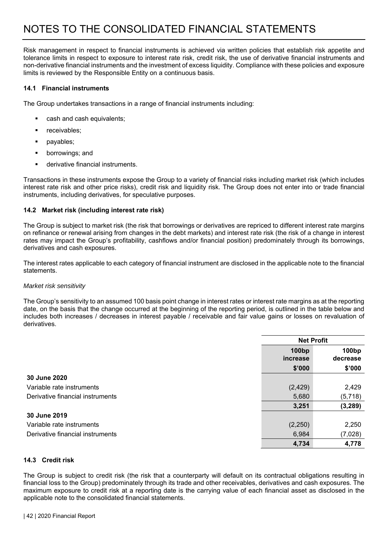Risk management in respect to financial instruments is achieved via written policies that establish risk appetite and tolerance limits in respect to exposure to interest rate risk, credit risk, the use of derivative financial instruments and non-derivative financial instruments and the investment of excess liquidity. Compliance with these policies and exposure limits is reviewed by the Responsible Entity on a continuous basis.

#### **14.1 Financial instruments**

The Group undertakes transactions in a range of financial instruments including:

- cash and cash equivalents;
- receivables;
- payables;
- borrowings; and
- derivative financial instruments.

Transactions in these instruments expose the Group to a variety of financial risks including market risk (which includes interest rate risk and other price risks), credit risk and liquidity risk. The Group does not enter into or trade financial instruments, including derivatives, for speculative purposes.

#### **14.2 Market risk (including interest rate risk)**

The Group is subject to market risk (the risk that borrowings or derivatives are repriced to different interest rate margins on refinance or renewal arising from changes in the debt markets) and interest rate risk (the risk of a change in interest rates may impact the Group's profitability, cashflows and/or financial position) predominately through its borrowings, derivatives and cash exposures.

The interest rates applicable to each category of financial instrument are disclosed in the applicable note to the financial statements.

#### *Market risk sensitivity*

The Group's sensitivity to an assumed 100 basis point change in interest rates or interest rate margins as at the reporting date, on the basis that the change occurred at the beginning of the reporting period, is outlined in the table below and includes both increases / decreases in interest payable / receivable and fair value gains or losses on revaluation of derivatives.

|                                  | <b>Net Profit</b>             |                               |  |
|----------------------------------|-------------------------------|-------------------------------|--|
|                                  | 100 <sub>bp</sub><br>increase | 100 <sub>bp</sub><br>decrease |  |
|                                  | \$'000                        | \$'000                        |  |
| 30 June 2020                     |                               |                               |  |
| Variable rate instruments        | (2, 429)                      | 2,429                         |  |
| Derivative financial instruments | 5,680                         | (5,718)                       |  |
|                                  | 3,251                         | (3, 289)                      |  |
| 30 June 2019                     |                               |                               |  |
| Variable rate instruments        | (2,250)                       | 2,250                         |  |
| Derivative financial instruments | 6,984                         | (7,028)                       |  |
|                                  | 4,734                         | 4,778                         |  |

#### **14.3 Credit risk**

The Group is subject to credit risk (the risk that a counterparty will default on its contractual obligations resulting in financial loss to the Group) predominately through its trade and other receivables, derivatives and cash exposures. The maximum exposure to credit risk at a reporting date is the carrying value of each financial asset as disclosed in the applicable note to the consolidated financial statements.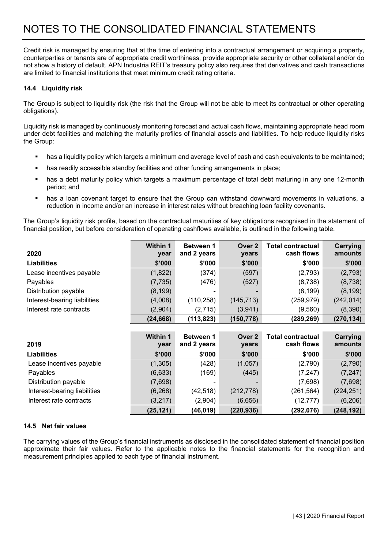Credit risk is managed by ensuring that at the time of entering into a contractual arrangement or acquiring a property, counterparties or tenants are of appropriate credit worthiness, provide appropriate security or other collateral and/or do not show a history of default. APN Industria REIT's treasury policy also requires that derivatives and cash transactions are limited to financial institutions that meet minimum credit rating criteria.

#### **14.4 Liquidity risk**

The Group is subject to liquidity risk (the risk that the Group will not be able to meet its contractual or other operating obligations).

Liquidity risk is managed by continuously monitoring forecast and actual cash flows, maintaining appropriate head room under debt facilities and matching the maturity profiles of financial assets and liabilities. To help reduce liquidity risks the Group:

- has a liquidity policy which targets a minimum and average level of cash and cash equivalents to be maintained;
- has readily accessible standby facilities and other funding arrangements in place;
- has a debt maturity policy which targets a maximum percentage of total debt maturing in any one 12-month period; and
- has a loan covenant target to ensure that the Group can withstand downward movements in valuations, a reduction in income and/or an increase in interest rates without breaching loan facility covenants.

The Group's liquidity risk profile, based on the contractual maturities of key obligations recognised in the statement of financial position, but before consideration of operating cashflows available, is outlined in the following table.

| 2020                         | <b>Within 1</b><br>year | <b>Between 1</b><br>and 2 years | Over 2<br>years | <b>Total contractual</b><br>cash flows | Carrying<br>amounts |
|------------------------------|-------------------------|---------------------------------|-----------------|----------------------------------------|---------------------|
| <b>Liabilities</b>           | \$'000                  | \$'000                          | \$'000          | \$'000                                 | \$'000              |
| Lease incentives payable     | (1,822)                 | (374)                           | (597)           | (2,793)                                | (2,793)             |
| Payables                     | (7, 735)                | (476)                           | (527)           | (8,738)                                | (8,738)             |
| Distribution payable         | (8, 199)                |                                 |                 | (8, 199)                               | (8, 199)            |
| Interest-bearing liabilities | (4,008)                 | (110, 258)                      | (145, 713)      | (259, 979)                             | (242, 014)          |
| Interest rate contracts      | (2,904)                 | (2,715)                         | (3,941)         | (9,560)                                | (8,390)             |
|                              | (24, 668)               | (113, 823)                      | (150, 778)      | (289, 269)                             | (270, 134)          |

| 2019                         | <b>Within 1</b><br>year | <b>Between 1</b><br>and 2 years | Over 2<br>years | <b>Total contractual</b><br>cash flows | Carrying<br>amounts |
|------------------------------|-------------------------|---------------------------------|-----------------|----------------------------------------|---------------------|
| <b>Liabilities</b>           | \$'000                  | \$'000                          | \$'000          | \$'000                                 | \$'000              |
| Lease incentives payable     | (1,305)                 | (428)                           | (1,057)         | (2,790)                                | (2,790)             |
| Payables                     | (6,633)                 | (169)                           | (445)           | (7, 247)                               | (7, 247)            |
| Distribution payable         | (7,698)                 | -                               |                 | (7,698)                                | (7,698)             |
| Interest-bearing liabilities | (6, 268)                | (42,518)                        | (212, 778)      | (261, 564)                             | (224, 251)          |
| Interest rate contracts      | (3,217)                 | (2,904)                         | (6,656)         | (12, 777)                              | (6,206)             |
|                              | (25, 121)               | (46, 019)                       | (220, 936)      | (292,076)                              | (248, 192)          |

#### **14.5 Net fair values**

The carrying values of the Group's financial instruments as disclosed in the consolidated statement of financial position approximate their fair values. Refer to the applicable notes to the financial statements for the recognition and measurement principles applied to each type of financial instrument.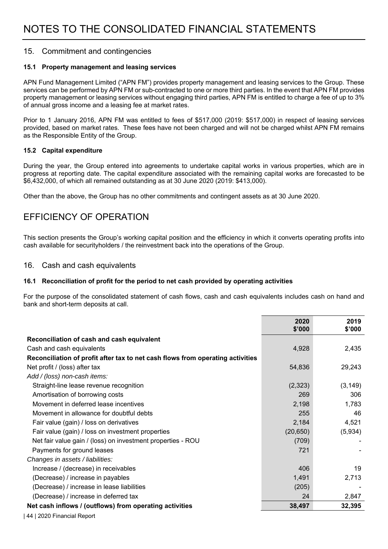#### 15. Commitment and contingencies

#### **15.1 Property management and leasing services**

APN Fund Management Limited ("APN FM") provides property management and leasing services to the Group. These services can be performed by APN FM or sub-contracted to one or more third parties. In the event that APN FM provides property management or leasing services without engaging third parties, APN FM is entitled to charge a fee of up to 3% of annual gross income and a leasing fee at market rates.

Prior to 1 January 2016, APN FM was entitled to fees of \$517,000 (2019: \$517,000) in respect of leasing services provided, based on market rates. These fees have not been charged and will not be charged whilst APN FM remains as the Responsible Entity of the Group.

#### **15.2 Capital expenditure**

During the year, the Group entered into agreements to undertake capital works in various properties, which are in progress at reporting date. The capital expenditure associated with the remaining capital works are forecasted to be \$6,432,000, of which all remained outstanding as at 30 June 2020 (2019: \$413,000).

Other than the above, the Group has no other commitments and contingent assets as at 30 June 2020.

### EFFICIENCY OF OPERATION

This section presents the Group's working capital position and the efficiency in which it converts operating profits into cash available for securityholders / the reinvestment back into the operations of the Group.

#### 16. Cash and cash equivalents

#### **16.1 Reconciliation of profit for the period to net cash provided by operating activities**

For the purpose of the consolidated statement of cash flows, cash and cash equivalents includes cash on hand and bank and short-term deposits at call.

|                                                                                | 2020<br>\$'000 | 2019<br>\$'000 |
|--------------------------------------------------------------------------------|----------------|----------------|
| Reconciliation of cash and cash equivalent                                     |                |                |
| Cash and cash equivalents                                                      | 4,928          | 2,435          |
| Reconciliation of profit after tax to net cash flows from operating activities |                |                |
| Net profit / (loss) after tax                                                  | 54,836         | 29,243         |
| Add / (loss) non-cash items:                                                   |                |                |
| Straight-line lease revenue recognition                                        | (2,323)        | (3, 149)       |
| Amortisation of borrowing costs                                                | 269            | 306            |
| Movement in deferred lease incentives                                          | 2,198          | 1,783          |
| Movement in allowance for doubtful debts                                       | 255            | 46             |
| Fair value (gain) / loss on derivatives                                        | 2,184          | 4,521          |
| Fair value (gain) / loss on investment properties                              | (20, 650)      | (5,934)        |
| Net fair value gain / (loss) on investment properties - ROU                    | (709)          |                |
| Payments for ground leases                                                     | 721            |                |
| Changes in assets / liabilities:                                               |                |                |
| Increase / (decrease) in receivables                                           | 406            | 19             |
| (Decrease) / increase in payables                                              | 1,491          | 2,713          |
| (Decrease) / increase in lease liabilities                                     | (205)          |                |
| (Decrease) / increase in deferred tax                                          | 24             | 2,847          |
| Net cash inflows / (outflows) from operating activities                        | 38,497         | 32,395         |

| 44 | 2020 Financial Report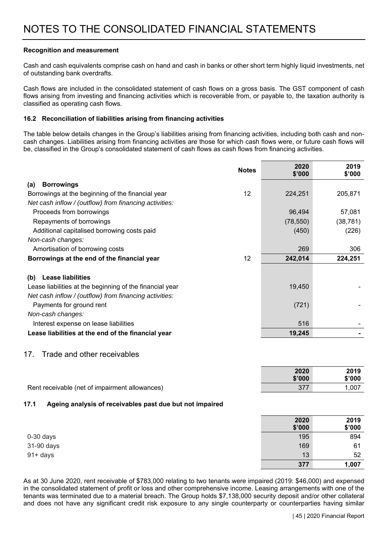#### **Recognition and measurement**

Cash and cash equivalents comprise cash on hand and cash in banks or other short term highly liquid investments, net of outstanding bank overdrafts.

Cash flows are included in the consolidated statement of cash flows on a gross basis. The GST component of cash flows arising from investing and financing activities which is recoverable from, or payable to, the taxation authority is classified as operating cash flows.

#### **16.2 Reconciliation of liabilities arising from financing activities**

The table below details changes in the Group's liabilities arising from financing activities, including both cash and noncash changes. Liabilities arising from financing activities are those for which cash flows were, or future cash flows will be, classified in the Group's consolidated statement of cash flows as cash flows from financing activities.

|                                                          | <b>Notes</b> | 2020<br>\$'000 | 2019<br>\$'000 |
|----------------------------------------------------------|--------------|----------------|----------------|
| <b>Borrowings</b><br>(a)                                 |              |                |                |
| Borrowings at the beginning of the financial year        | 12           | 224,251        | 205,871        |
| Net cash inflow / (outflow) from financing activities:   |              |                |                |
| Proceeds from borrowings                                 |              | 96,494         | 57,081         |
| Repayments of borrowings                                 |              | (78, 550)      | (38, 781)      |
| Additional capitalised borrowing costs paid              |              | (450)          | (226)          |
| Non-cash changes:                                        |              |                |                |
| Amortisation of borrowing costs                          |              | 269            | 306            |
| Borrowings at the end of the financial year              | 12           | 242,014        | 224,251        |
| <b>Lease liabilities</b><br>(b)                          |              |                |                |
| Lease liabilities at the beginning of the financial year |              | 19,450         |                |
| Net cash inflow / (outflow) from financing activities:   |              |                |                |
| Payments for ground rent                                 |              | (721)          |                |
| Non-cash changes:                                        |              |                |                |
| Interest expense on lease liabilities                    |              | 516            |                |
| Lease liabilities at the end of the financial year       |              | 19,245         |                |
| Trade and other receivables<br>17.                       |              |                |                |

|                                                | 2020   | 2019   |
|------------------------------------------------|--------|--------|
|                                                | \$'000 | \$'000 |
| Rent receivable (net of impairment allowances) |        | .007   |

#### **17.1 Ageing analysis of receivables past due but not impaired**

|             | 2020<br>\$'000 | 2019<br>\$'000 |
|-------------|----------------|----------------|
| $0-30$ days | 195            | 894            |
| 31-90 days  | 169            | 61             |
| $91 + days$ |                | 13<br>52       |
|             | 377            | 1,007          |

As at 30 June 2020, rent receivable of \$783,000 relating to two tenants were impaired (2019: \$46,000) and expensed in the consolidated statement of profit or loss and other comprehensive income. Leasing arrangements with one of the tenants was terminated due to a material breach. The Group holds \$7,138,000 security deposit and/or other collateral and does not have any significant credit risk exposure to any single counterparty or counterparties having similar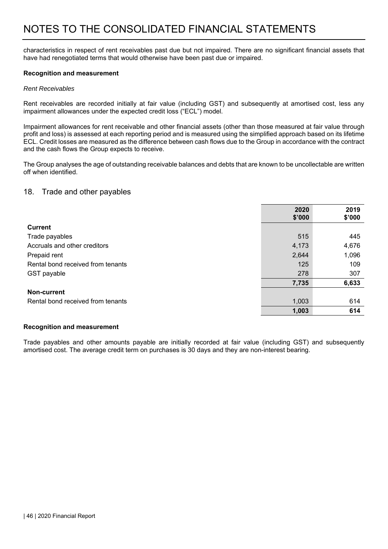characteristics in respect of rent receivables past due but not impaired. There are no significant financial assets that have had renegotiated terms that would otherwise have been past due or impaired.

#### **Recognition and measurement**

#### *Rent Receivables*

Rent receivables are recorded initially at fair value (including GST) and subsequently at amortised cost, less any impairment allowances under the expected credit loss ("ECL") model.

Impairment allowances for rent receivable and other financial assets (other than those measured at fair value through profit and loss) is assessed at each reporting period and is measured using the simplified approach based on its lifetime ECL. Credit losses are measured as the difference between cash flows due to the Group in accordance with the contract and the cash flows the Group expects to receive.

The Group analyses the age of outstanding receivable balances and debts that are known to be uncollectable are written off when identified.

#### 18. Trade and other payables

|                                   | 2020<br>\$'000 | 2019<br>\$'000 |
|-----------------------------------|----------------|----------------|
| <b>Current</b>                    |                |                |
| Trade payables                    | 515            | 445            |
| Accruals and other creditors      | 4,173          | 4,676          |
| Prepaid rent                      | 2,644          | 1,096          |
| Rental bond received from tenants | 125            | 109            |
| GST payable                       | 278            | 307            |
|                                   | 7,735          | 6,633          |
| Non-current                       |                |                |
| Rental bond received from tenants | 1,003          | 614            |
|                                   | 1,003          | 614            |

#### **Recognition and measurement**

Trade payables and other amounts payable are initially recorded at fair value (including GST) and subsequently amortised cost. The average credit term on purchases is 30 days and they are non-interest bearing.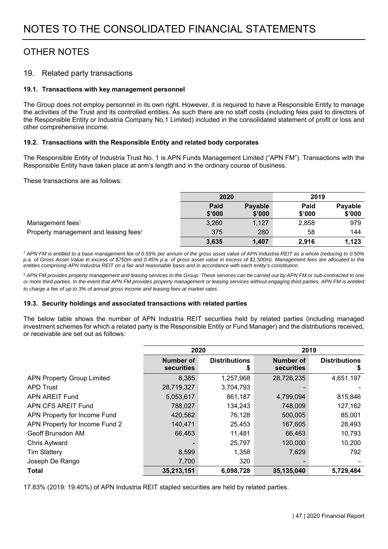## OTHER NOTES

#### 19. Related party transactions

#### **19.1. Transactions with key management personnel**

The Group does not employ personnel in its own right. However, it is required to have a Responsible Entity to manage the activities of the Trust and its controlled entities. As such there are no staff costs (including fees paid to directors of the Responsible Entity or Industria Company No.1 Limited) included in the consolidated statement of profit or loss and other comprehensive income.

#### **19.2. Transactions with the Responsible Entity and related body corporates**

The Responsible Entity of Industria Trust No. 1 is APN Funds Management Limited ("APN FM"). Transactions with the Responsible Entity have taken place at arm's length and in the ordinary course of business.

These transactions are as follows:

|                                                   | 2020           |                   | 2019           |                   |
|---------------------------------------------------|----------------|-------------------|----------------|-------------------|
|                                                   | Paid<br>\$'000 | Payable<br>\$'000 | Paid<br>\$'000 | Payable<br>\$'000 |
| Management fees <sup>1</sup>                      | 3,260          | 1,127             | 2,858          | 979               |
| Property management and leasing fees <sup>2</sup> | 375            | 280               | 58             | 144               |
|                                                   | 3,635          | 1,407             | 2.916          | 1,123             |

<sup>1</sup> APN FM is entitled to a base management fee of 0.55% per annum of the gross asset value of APN Industria REIT as a whole (reducing to 0.50% *p.a. of Gross Asset Value in excess of \$750m and 0.45% p.a. of gross asset value in excess of \$1,500m). Management fees are allocated to the entities comprising APN Industria REIT on a fair and reasonable basis and in accordance with each entity's constitution.* 

<sup>2</sup> APN FM provides property management and leasing services to the Group. These services can be carried out by APN FM or sub-contracted to one *or more third parties. In the event that APN FM provides property management or leasing services without engaging third parties, APN FM is entitled to charge a fee of up to 3% of annual gross income and leasing fees at market rates.*

#### **19.3. Security holdings and associated transactions with related parties**

The below table shows the number of APN Industria REIT securities held by related parties (including managed investment schemes for which a related party is the Responsible Entity or Fund Manager) and the distributions received, or receivable are set out as follows:

|                                   | 2020                    |                           | 2019                    |                      |
|-----------------------------------|-------------------------|---------------------------|-------------------------|----------------------|
|                                   | Number of<br>securities | <b>Distributions</b><br>5 | Number of<br>securities | <b>Distributions</b> |
| <b>APN Property Group Limited</b> | 8,385                   | 1,257,968                 | 28,726,235              | 4,651,197            |
| <b>APD Trust</b>                  | 28,719,327              | 3,704,793                 |                         |                      |
| APN AREIT Fund                    | 5,053,617               | 861,187                   | 4,799,094               | 815,846              |
| APN CFS AREIT Fund                | 788,027                 | 134,243                   | 748,009                 | 127,162              |
| APN Property for Income Fund      | 420,562                 | 76,128                    | 500,005                 | 85,001               |
| APN Property for Income Fund 2    | 140,471                 | 25,453                    | 167,605                 | 28,493               |
| Geoff Brunsdon AM                 | 66,463                  | 11,481                    | 66,463                  | 10,793               |
| Chris Aylward                     |                         | 25,797                    | 120,000                 | 10,200               |
| <b>Tim Slattery</b>               | 8,599                   | 1,358                     | 7,629                   | 792                  |
| Joseph De Rango                   | 7,700                   | 320                       |                         |                      |
| <b>Total</b>                      | 35,213,151              | 6,098,728                 | 35,135,040              | 5,729,484            |

17.83% (2019: 19.40%) of APN Industria REIT stapled securities are held by related parties.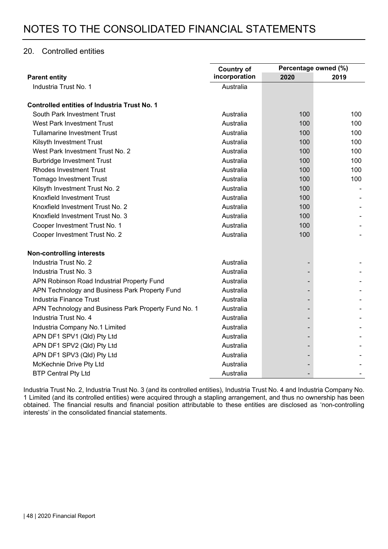#### 20. Controlled entities

|                                                      | <b>Country of</b> | Percentage owned (%) |      |
|------------------------------------------------------|-------------------|----------------------|------|
| <b>Parent entity</b>                                 | incorporation     | 2020                 | 2019 |
| Industria Trust No. 1                                | Australia         |                      |      |
| <b>Controlled entities of Industria Trust No. 1</b>  |                   |                      |      |
| South Park Investment Trust                          | Australia         | 100                  | 100  |
| <b>West Park Investment Trust</b>                    | Australia         | 100                  | 100  |
| <b>Tullamarine Investment Trust</b>                  | Australia         | 100                  | 100  |
| Kilsyth Investment Trust                             | Australia         | 100                  | 100  |
| West Park Investment Trust No. 2                     | Australia         | 100                  | 100  |
| <b>Burbridge Investment Trust</b>                    | Australia         | 100                  | 100  |
| <b>Rhodes Investment Trust</b>                       | Australia         | 100                  | 100  |
| <b>Tomago Investment Trust</b>                       | Australia         | 100                  | 100  |
| Kilsyth Investment Trust No. 2                       | Australia         | 100                  |      |
| Knoxfield Investment Trust                           | Australia         | 100                  |      |
| Knoxfield Investment Trust No. 2                     | Australia         | 100                  |      |
| Knoxfield Investment Trust No. 3                     | Australia         | 100                  |      |
| Cooper Investment Trust No. 1                        | Australia         | 100                  |      |
| Cooper Investment Trust No. 2                        | Australia         | 100                  |      |
| <b>Non-controlling interests</b>                     |                   |                      |      |
| Industria Trust No. 2                                | Australia         |                      |      |
| Industria Trust No. 3                                | Australia         |                      |      |
| APN Robinson Road Industrial Property Fund           | Australia         |                      |      |
| APN Technology and Business Park Property Fund       | Australia         |                      |      |
| Industria Finance Trust                              | Australia         |                      |      |
| APN Technology and Business Park Property Fund No. 1 | Australia         |                      |      |
| Industria Trust No. 4                                | Australia         |                      |      |
| Industria Company No.1 Limited                       | Australia         |                      |      |
| APN DF1 SPV1 (Qld) Pty Ltd                           | Australia         |                      |      |
| APN DF1 SPV2 (Qld) Pty Ltd                           | Australia         |                      |      |
| APN DF1 SPV3 (Qld) Pty Ltd                           | Australia         |                      |      |
| McKechnie Drive Pty Ltd                              | Australia         |                      |      |
| <b>BTP Central Pty Ltd</b>                           | Australia         |                      |      |

Industria Trust No. 2, Industria Trust No. 3 (and its controlled entities), Industria Trust No. 4 and Industria Company No. 1 Limited (and its controlled entities) were acquired through a stapling arrangement, and thus no ownership has been obtained. The financial results and financial position attributable to these entities are disclosed as 'non-controlling interests' in the consolidated financial statements.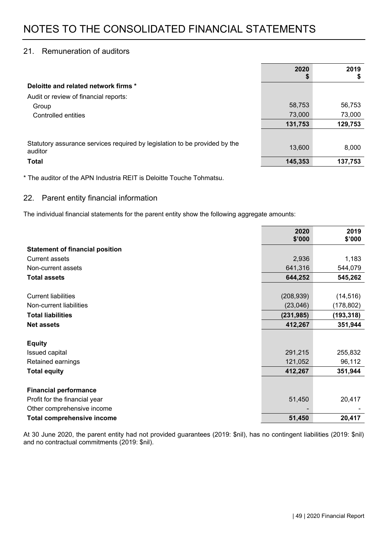#### 21. Remuneration of auditors

|                                                                                       | 2020    | 2019<br>\$ |
|---------------------------------------------------------------------------------------|---------|------------|
| Deloitte and related network firms *                                                  |         |            |
| Audit or review of financial reports:                                                 |         |            |
| Group                                                                                 | 58,753  | 56,753     |
| Controlled entities                                                                   | 73,000  | 73,000     |
|                                                                                       | 131,753 | 129,753    |
|                                                                                       |         |            |
| Statutory assurance services required by legislation to be provided by the<br>auditor | 13,600  | 8,000      |
| <b>Total</b>                                                                          | 145,353 | 137,753    |

\* The auditor of the APN Industria REIT is Deloitte Touche Tohmatsu.

#### 22. Parent entity financial information

The individual financial statements for the parent entity show the following aggregate amounts:

|                                        | 2020<br>\$'000 | 2019<br>\$'000 |
|----------------------------------------|----------------|----------------|
| <b>Statement of financial position</b> |                |                |
| <b>Current assets</b>                  | 2,936          | 1,183          |
| Non-current assets                     | 641,316        | 544,079        |
| <b>Total assets</b>                    | 644,252        | 545,262        |
|                                        |                |                |
| <b>Current liabilities</b>             | (208, 939)     | (14, 516)      |
| Non-current liabilities                | (23,046)       | (178, 802)     |
| <b>Total liabilities</b>               | (231, 985)     | (193, 318)     |
| <b>Net assets</b>                      | 412,267        | 351,944        |
|                                        |                |                |
| <b>Equity</b>                          |                |                |
| Issued capital                         | 291,215        | 255,832        |
| Retained earnings                      | 121,052        | 96,112         |
| <b>Total equity</b>                    | 412,267        | 351,944        |
|                                        |                |                |
| <b>Financial performance</b>           |                |                |
| Profit for the financial year          | 51,450         | 20,417         |
| Other comprehensive income             |                |                |
| <b>Total comprehensive income</b>      | 51,450         | 20,417         |

At 30 June 2020, the parent entity had not provided guarantees (2019: \$nil), has no contingent liabilities (2019: \$nil) and no contractual commitments (2019: \$nil).